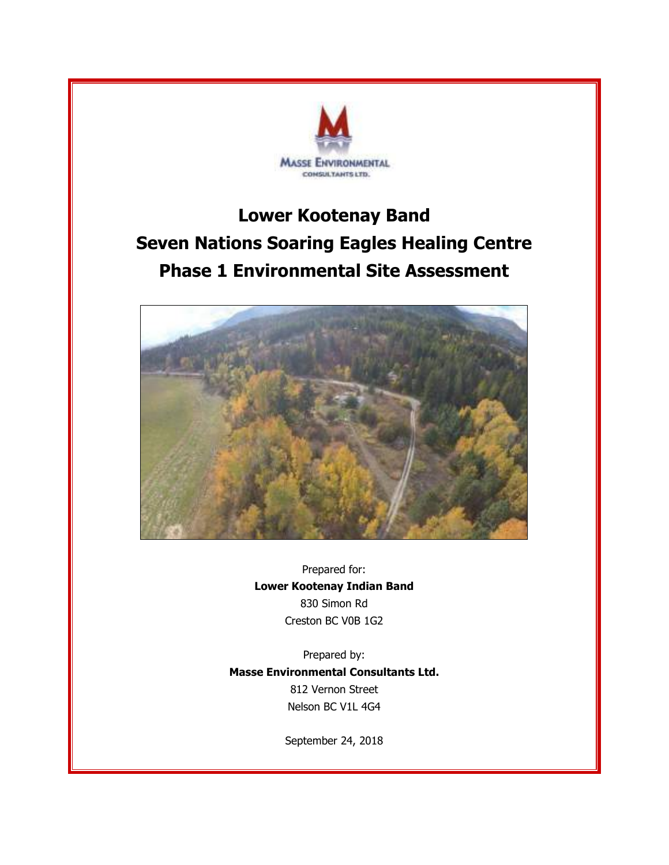

## **Lower Kootenay Band Seven Nations Soaring Eagles Healing Centre Phase 1 Environmental Site Assessment**



Prepared for: **Lower Kootenay Indian Band** 830 Simon Rd Creston BC V0B 1G2

Prepared by: **Masse Environmental Consultants Ltd.** 812 Vernon Street Nelson BC V1L 4G4

September 24, 2018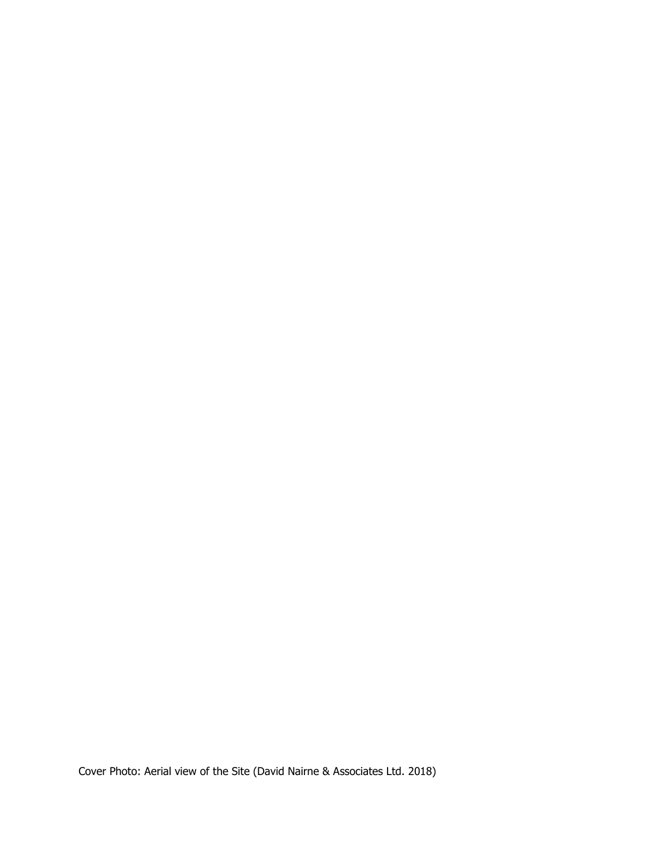Cover Photo: Aerial view of the Site (David Nairne & Associates Ltd. 2018)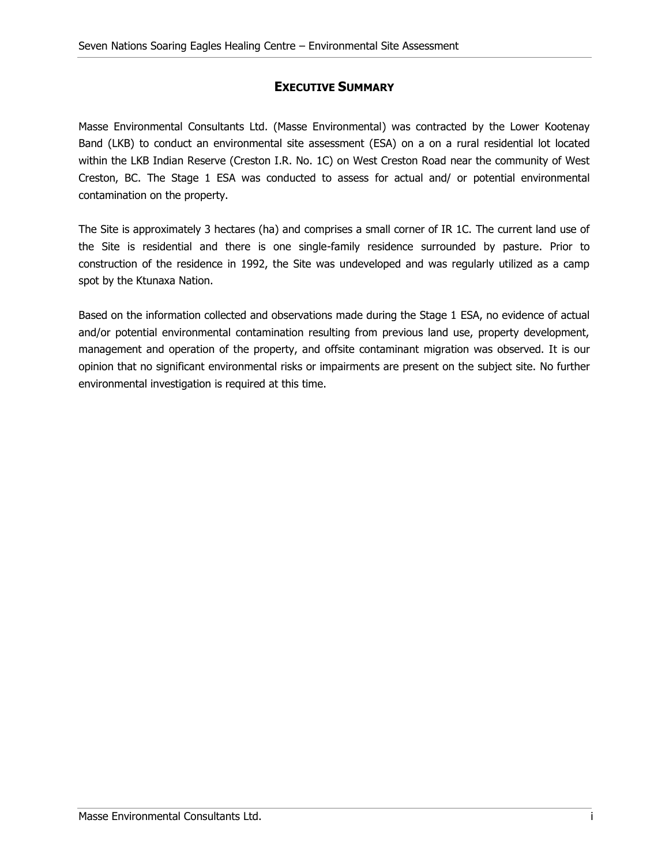### **EXECUTIVE SUMMARY**

<span id="page-2-0"></span>Masse Environmental Consultants Ltd. (Masse Environmental) was contracted by the Lower Kootenay Band (LKB) to conduct an environmental site assessment (ESA) on a on a rural residential lot located within the LKB Indian Reserve (Creston I.R. No. 1C) on West Creston Road near the community of West Creston, BC. The Stage 1 ESA was conducted to assess for actual and/ or potential environmental contamination on the property.

The Site is approximately 3 hectares (ha) and comprises a small corner of IR 1C. The current land use of the Site is residential and there is one single-family residence surrounded by pasture. Prior to construction of the residence in 1992, the Site was undeveloped and was regularly utilized as a camp spot by the Ktunaxa Nation.

Based on the information collected and observations made during the Stage 1 ESA, no evidence of actual and/or potential environmental contamination resulting from previous land use, property development, management and operation of the property, and offsite contaminant migration was observed. It is our opinion that no significant environmental risks or impairments are present on the subject site. No further environmental investigation is required at this time.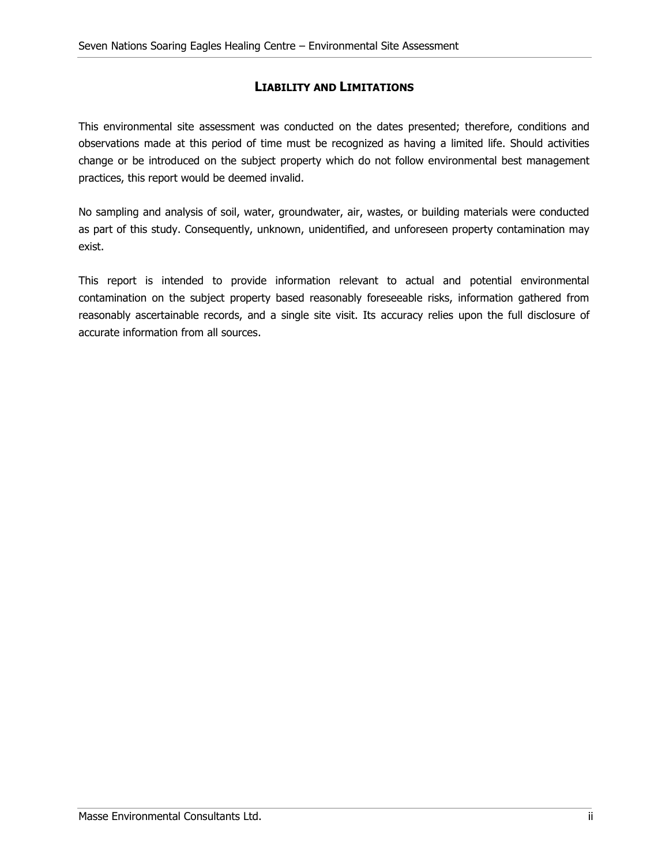### **LIABILITY AND LIMITATIONS**

<span id="page-3-0"></span>This environmental site assessment was conducted on the dates presented; therefore, conditions and observations made at this period of time must be recognized as having a limited life. Should activities change or be introduced on the subject property which do not follow environmental best management practices, this report would be deemed invalid.

No sampling and analysis of soil, water, groundwater, air, wastes, or building materials were conducted as part of this study. Consequently, unknown, unidentified, and unforeseen property contamination may exist.

This report is intended to provide information relevant to actual and potential environmental contamination on the subject property based reasonably foreseeable risks, information gathered from reasonably ascertainable records, and a single site visit. Its accuracy relies upon the full disclosure of accurate information from all sources.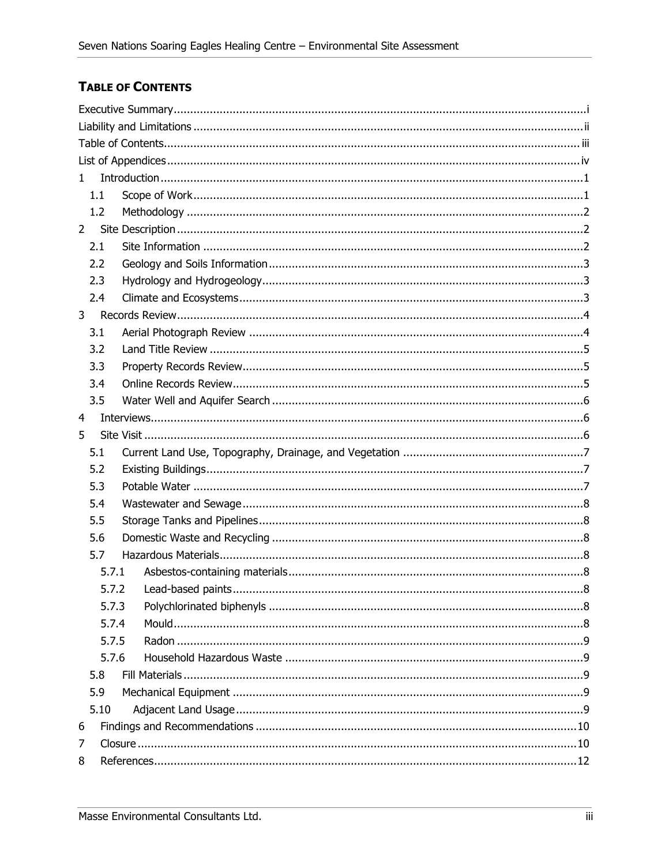### <span id="page-4-0"></span>**TABLE OF CONTENTS**

| 1           |       |  |  |  |
|-------------|-------|--|--|--|
|             | 1.1   |  |  |  |
|             | 1.2   |  |  |  |
| $2^{\circ}$ |       |  |  |  |
|             | 2.1   |  |  |  |
|             | 2.2   |  |  |  |
|             | 2.3   |  |  |  |
|             | 2.4   |  |  |  |
| 3           |       |  |  |  |
|             | 3.1   |  |  |  |
|             | 3.2   |  |  |  |
|             | 3.3   |  |  |  |
|             | 3.4   |  |  |  |
|             | 3.5   |  |  |  |
| 4           |       |  |  |  |
| 5           |       |  |  |  |
|             | 5.1   |  |  |  |
|             | 5.2   |  |  |  |
|             | 5.3   |  |  |  |
|             | 5.4   |  |  |  |
|             | 5.5   |  |  |  |
|             | 5.6   |  |  |  |
|             | 5.7   |  |  |  |
|             | 5.7.1 |  |  |  |
|             | 5.7.2 |  |  |  |
|             | 5.7.3 |  |  |  |
|             | 5.7.4 |  |  |  |
|             | 5.7.5 |  |  |  |
|             | 5.7.6 |  |  |  |
|             | 5.8   |  |  |  |
|             | 5.9   |  |  |  |
|             | 5.10  |  |  |  |
| 6           |       |  |  |  |
| 7           |       |  |  |  |
| 8           |       |  |  |  |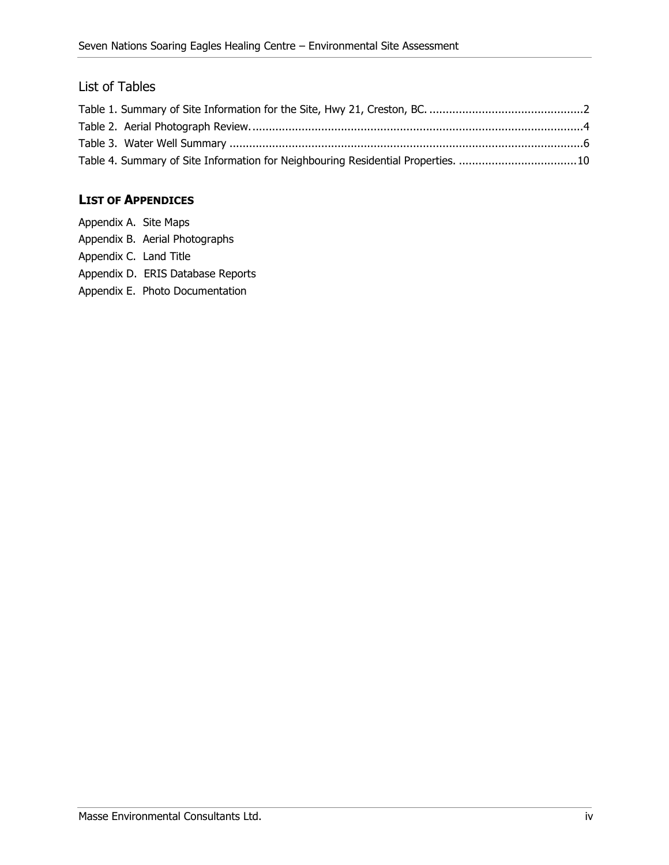### List of Tables

| Table 4. Summary of Site Information for Neighbouring Residential Properties. 10 |  |
|----------------------------------------------------------------------------------|--|

### <span id="page-5-0"></span>**LIST OF APPENDICES**

| Appendix A. Site Maps  |                                   |
|------------------------|-----------------------------------|
|                        | Appendix B. Aerial Photographs    |
| Appendix C. Land Title |                                   |
|                        | Appendix D. ERIS Database Reports |
|                        | Appendix E. Photo Documentation   |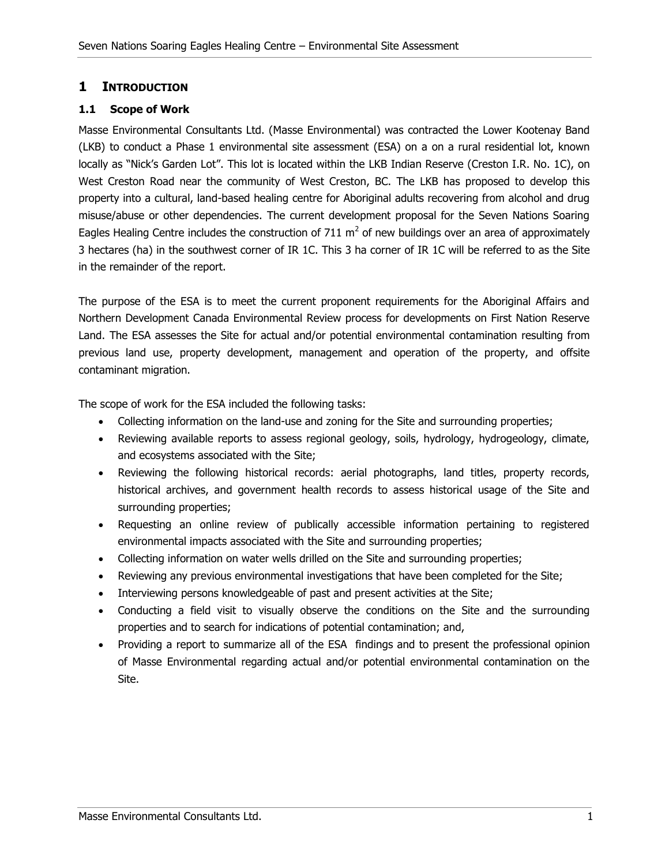### <span id="page-6-0"></span>**1 INTRODUCTION**

#### <span id="page-6-1"></span>**1.1 Scope of Work**

Masse Environmental Consultants Ltd. (Masse Environmental) was contracted the Lower Kootenay Band (LKB) to conduct a Phase 1 environmental site assessment (ESA) on a on a rural residential lot, known locally as "Nick's Garden Lot". This lot is located within the LKB Indian Reserve (Creston I.R. No. 1C), on West Creston Road near the community of West Creston, BC. The LKB has proposed to develop this property into a cultural, land-based healing centre for Aboriginal adults recovering from alcohol and drug misuse/abuse or other dependencies. The current development proposal for the Seven Nations Soaring Eagles Healing Centre includes the construction of 711 m<sup>2</sup> of new buildings over an area of approximately 3 hectares (ha) in the southwest corner of IR 1C. This 3 ha corner of IR 1C will be referred to as the Site in the remainder of the report.

The purpose of the ESA is to meet the current proponent requirements for the Aboriginal Affairs and Northern Development Canada Environmental Review process for developments on First Nation Reserve Land. The ESA assesses the Site for actual and/or potential environmental contamination resulting from previous land use, property development, management and operation of the property, and offsite contaminant migration.

The scope of work for the ESA included the following tasks:

- Collecting information on the land-use and zoning for the Site and surrounding properties;
- Reviewing available reports to assess regional geology, soils, hydrology, hydrogeology, climate, and ecosystems associated with the Site;
- Reviewing the following historical records: aerial photographs, land titles, property records, historical archives, and government health records to assess historical usage of the Site and surrounding properties;
- Requesting an online review of publically accessible information pertaining to registered environmental impacts associated with the Site and surrounding properties;
- Collecting information on water wells drilled on the Site and surrounding properties;
- Reviewing any previous environmental investigations that have been completed for the Site;
- Interviewing persons knowledgeable of past and present activities at the Site;
- Conducting a field visit to visually observe the conditions on the Site and the surrounding properties and to search for indications of potential contamination; and,
- Providing a report to summarize all of the ESA findings and to present the professional opinion of Masse Environmental regarding actual and/or potential environmental contamination on the Site.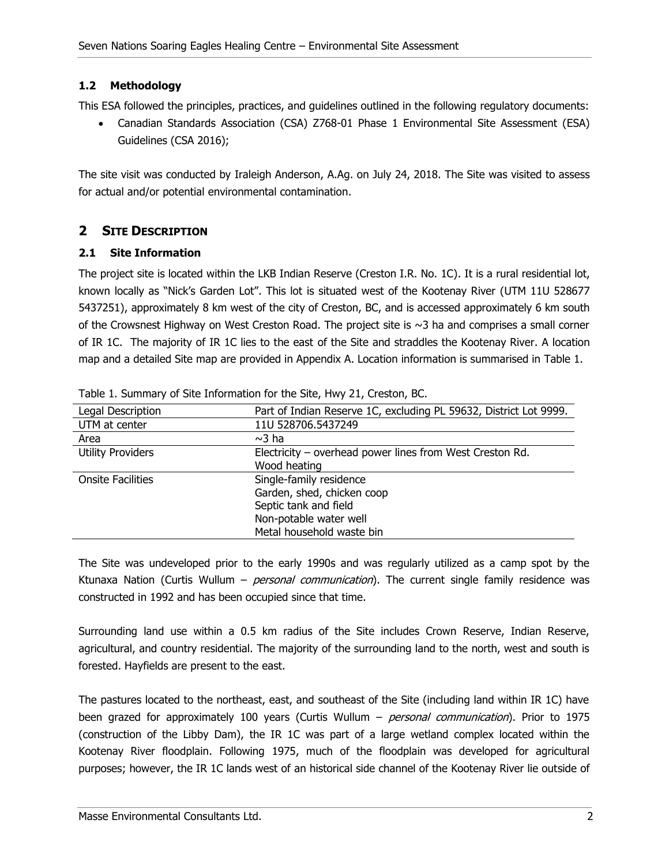#### <span id="page-7-0"></span>**1.2 Methodology**

This ESA followed the principles, practices, and guidelines outlined in the following regulatory documents:

 Canadian Standards Association (CSA) Z768-01 Phase 1 Environmental Site Assessment (ESA) Guidelines (CSA 2016);

The site visit was conducted by Iraleigh Anderson, A.Ag. on July 24, 2018. The Site was visited to assess for actual and/or potential environmental contamination.

### <span id="page-7-1"></span>**2 SITE DESCRIPTION**

#### <span id="page-7-2"></span>**2.1 Site Information**

The project site is located within the LKB Indian Reserve (Creston I.R. No. 1C). It is a rural residential lot, known locally as "Nick's Garden Lot". This lot is situated west of the Kootenay River (UTM 11U 528677 5437251), approximately 8 km west of the city of Creston, BC, and is accessed approximately 6 km south of the Crowsnest Highway on West Creston Road. The project site is ~3 ha and comprises a small corner of IR 1C. The majority of IR 1C lies to the east of the Site and straddles the Kootenay River. A location map and a detailed Site map are provided in Appendix A. Location information is summarised in [Table 1.](#page-7-3)

| Legal Description        | Part of Indian Reserve 1C, excluding PL 59632, District Lot 9999. |
|--------------------------|-------------------------------------------------------------------|
| UTM at center            | 11U 528706.5437249                                                |
| Area                     | $\sim$ 3 ha                                                       |
| <b>Utility Providers</b> | Electricity - overhead power lines from West Creston Rd.          |
|                          | Wood heating                                                      |
| <b>Onsite Facilities</b> | Single-family residence                                           |
|                          | Garden, shed, chicken coop                                        |
|                          | Septic tank and field                                             |
|                          | Non-potable water well                                            |
|                          | Metal household waste bin                                         |

<span id="page-7-3"></span>Table 1. Summary of Site Information for the Site, Hwy 21, Creston, BC.

The Site was undeveloped prior to the early 1990s and was regularly utilized as a camp spot by the Ktunaxa Nation (Curtis Wullum – *personal communication*). The current single family residence was constructed in 1992 and has been occupied since that time.

Surrounding land use within a 0.5 km radius of the Site includes Crown Reserve, Indian Reserve, agricultural, and country residential. The majority of the surrounding land to the north, west and south is forested. Hayfields are present to the east.

The pastures located to the northeast, east, and southeast of the Site (including land within IR 1C) have been grazed for approximately 100 years (Curtis Wullum – *personal communication*). Prior to 1975 (construction of the Libby Dam), the IR 1C was part of a large wetland complex located within the Kootenay River floodplain. Following 1975, much of the floodplain was developed for agricultural purposes; however, the IR 1C lands west of an historical side channel of the Kootenay River lie outside of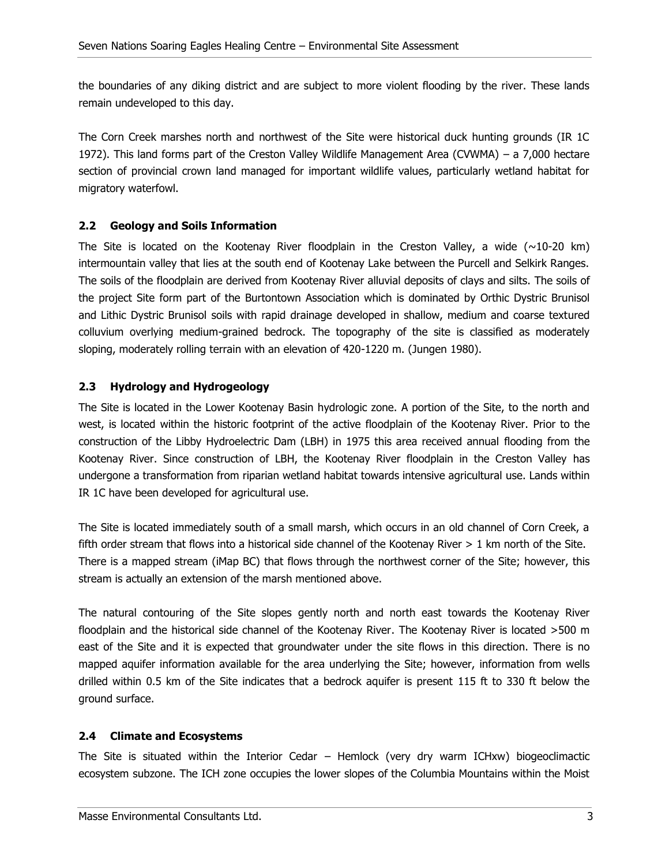the boundaries of any diking district and are subject to more violent flooding by the river. These lands remain undeveloped to this day.

The Corn Creek marshes north and northwest of the Site were historical duck hunting grounds (IR 1C 1972). This land forms part of the Creston Valley Wildlife Management Area (CVWMA) – a 7,000 hectare section of provincial crown land managed for important wildlife values, particularly wetland habitat for migratory waterfowl.

### <span id="page-8-0"></span>**2.2 Geology and Soils Information**

The Site is located on the Kootenay River floodplain in the Creston Valley, a wide  $(\sim 10{\text -}20 \text{ km})$ intermountain valley that lies at the south end of Kootenay Lake between the Purcell and Selkirk Ranges. The soils of the floodplain are derived from Kootenay River alluvial deposits of clays and silts. The soils of the project Site form part of the Burtontown Association which is dominated by Orthic Dystric Brunisol and Lithic Dystric Brunisol soils with rapid drainage developed in shallow, medium and coarse textured colluvium overlying medium-grained bedrock. The topography of the site is classified as moderately sloping, moderately rolling terrain with an elevation of 420-1220 m. (Jungen 1980).

### <span id="page-8-1"></span>**2.3 Hydrology and Hydrogeology**

The Site is located in the Lower Kootenay Basin hydrologic zone. A portion of the Site, to the north and west, is located within the historic footprint of the active floodplain of the Kootenay River. Prior to the construction of the Libby Hydroelectric Dam (LBH) in 1975 this area received annual flooding from the Kootenay River. Since construction of LBH, the Kootenay River floodplain in the Creston Valley has undergone a transformation from riparian wetland habitat towards intensive agricultural use. Lands within IR 1C have been developed for agricultural use.

The Site is located immediately south of a small marsh, which occurs in an old channel of Corn Creek, a fifth order stream that flows into a historical side channel of the Kootenay River > 1 km north of the Site. There is a mapped stream (iMap BC) that flows through the northwest corner of the Site; however, this stream is actually an extension of the marsh mentioned above.

The natural contouring of the Site slopes gently north and north east towards the Kootenay River floodplain and the historical side channel of the Kootenay River. The Kootenay River is located >500 m east of the Site and it is expected that groundwater under the site flows in this direction. There is no mapped aquifer information available for the area underlying the Site; however, information from wells drilled within 0.5 km of the Site indicates that a bedrock aquifer is present 115 ft to 330 ft below the ground surface.

#### <span id="page-8-2"></span>**2.4 Climate and Ecosystems**

The Site is situated within the Interior Cedar – Hemlock (very dry warm ICHxw) biogeoclimactic ecosystem subzone. The ICH zone occupies the lower slopes of the Columbia Mountains within the Moist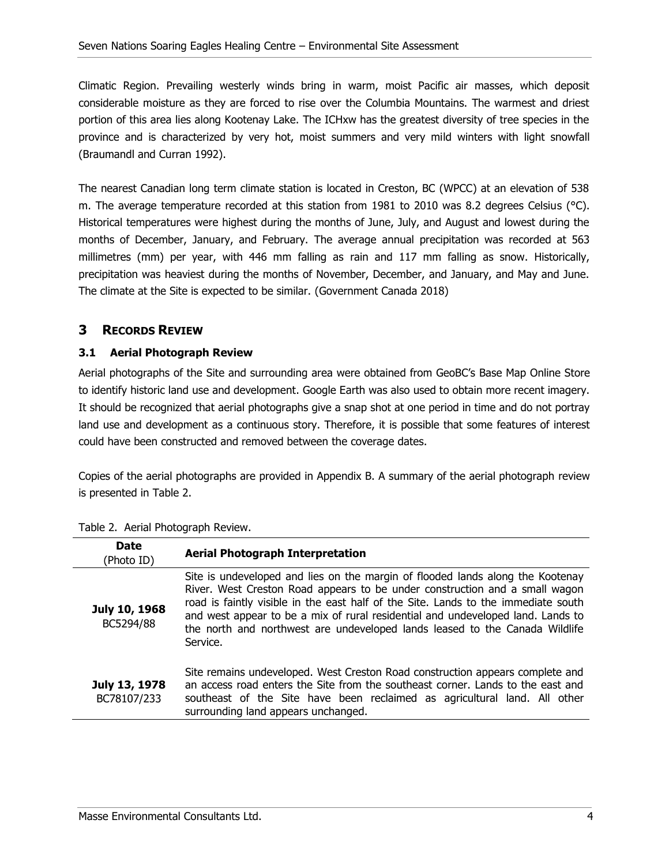Climatic Region. Prevailing westerly winds bring in warm, moist Pacific air masses, which deposit considerable moisture as they are forced to rise over the Columbia Mountains. The warmest and driest portion of this area lies along Kootenay Lake. The ICHxw has the greatest diversity of tree species in the province and is characterized by very hot, moist summers and very mild winters with light snowfall (Braumandl and Curran 1992).

The nearest Canadian long term climate station is located in Creston, BC (WPCC) at an elevation of 538 m. The average temperature recorded at this station from 1981 to 2010 was 8.2 degrees Celsius ( $^{\circ}$ C). Historical temperatures were highest during the months of June, July, and August and lowest during the months of December, January, and February. The average annual precipitation was recorded at 563 millimetres (mm) per year, with 446 mm falling as rain and 117 mm falling as snow. Historically, precipitation was heaviest during the months of November, December, and January, and May and June. The climate at the Site is expected to be similar. (Government Canada 2018)

### <span id="page-9-0"></span>**3 RECORDS REVIEW**

#### <span id="page-9-1"></span>**3.1 Aerial Photograph Review**

Aerial photographs of the Site and surrounding area were obtained from GeoBC's Base Map Online Store to identify historic land use and development. Google Earth was also used to obtain more recent imagery. It should be recognized that aerial photographs give a snap shot at one period in time and do not portray land use and development as a continuous story. Therefore, it is possible that some features of interest could have been constructed and removed between the coverage dates.

Copies of the aerial photographs are provided in Appendix B. A summary of the aerial photograph review is presented in [Table 2.](#page-9-2)

| <b>Date</b><br>(Photo ID)    | <b>Aerial Photograph Interpretation</b>                                                                                                                                                                                                                                                                                                                                                                                           |  |
|------------------------------|-----------------------------------------------------------------------------------------------------------------------------------------------------------------------------------------------------------------------------------------------------------------------------------------------------------------------------------------------------------------------------------------------------------------------------------|--|
| July 10, 1968<br>BC5294/88   | Site is undeveloped and lies on the margin of flooded lands along the Kootenay<br>River. West Creston Road appears to be under construction and a small wagon<br>road is faintly visible in the east half of the Site. Lands to the immediate south<br>and west appear to be a mix of rural residential and undeveloped land. Lands to<br>the north and northwest are undeveloped lands leased to the Canada Wildlife<br>Service. |  |
| July 13, 1978<br>BC78107/233 | Site remains undeveloped. West Creston Road construction appears complete and<br>an access road enters the Site from the southeast corner. Lands to the east and<br>southeast of the Site have been reclaimed as agricultural land. All other<br>surrounding land appears unchanged.                                                                                                                                              |  |

<span id="page-9-2"></span>

|  | Table 2. Aerial Photograph Review. |  |
|--|------------------------------------|--|
|  |                                    |  |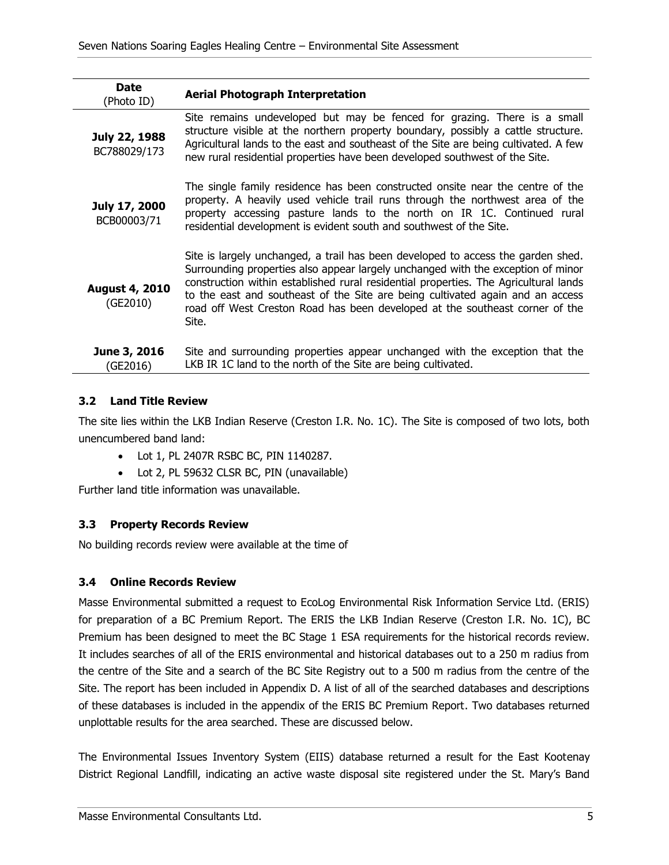| <b>Date</b><br>(Photo ID)         | <b>Aerial Photograph Interpretation</b>                                                                                                                                                                                                                                                                                                                                                                                                 |
|-----------------------------------|-----------------------------------------------------------------------------------------------------------------------------------------------------------------------------------------------------------------------------------------------------------------------------------------------------------------------------------------------------------------------------------------------------------------------------------------|
| July 22, 1988<br>BC788029/173     | Site remains undeveloped but may be fenced for grazing. There is a small<br>structure visible at the northern property boundary, possibly a cattle structure.<br>Agricultural lands to the east and southeast of the Site are being cultivated. A few<br>new rural residential properties have been developed southwest of the Site.                                                                                                    |
| July 17, 2000<br>BCB00003/71      | The single family residence has been constructed onsite near the centre of the<br>property. A heavily used vehicle trail runs through the northwest area of the<br>property accessing pasture lands to the north on IR 1C. Continued rural<br>residential development is evident south and southwest of the Site.                                                                                                                       |
| <b>August 4, 2010</b><br>(GE2010) | Site is largely unchanged, a trail has been developed to access the garden shed.<br>Surrounding properties also appear largely unchanged with the exception of minor<br>construction within established rural residential properties. The Agricultural lands<br>to the east and southeast of the Site are being cultivated again and an access<br>road off West Creston Road has been developed at the southeast corner of the<br>Site. |
| June 3, 2016<br>(GE2016)          | Site and surrounding properties appear unchanged with the exception that the<br>LKB IR 1C land to the north of the Site are being cultivated.                                                                                                                                                                                                                                                                                           |

#### <span id="page-10-0"></span>**3.2 Land Title Review**

The site lies within the LKB Indian Reserve (Creston I.R. No. 1C). The Site is composed of two lots, both unencumbered band land:

- Lot 1, PL 2407R RSBC BC, PIN 1140287.
- Lot 2, PL 59632 CLSR BC, PIN (unavailable)

Further land title information was unavailable.

#### <span id="page-10-1"></span>**3.3 Property Records Review**

No building records review were available at the time of

#### <span id="page-10-2"></span>**3.4 Online Records Review**

Masse Environmental submitted a request to EcoLog Environmental Risk Information Service Ltd. (ERIS) for preparation of a BC Premium Report. The ERIS the LKB Indian Reserve (Creston I.R. No. 1C), BC Premium has been designed to meet the BC Stage 1 ESA requirements for the historical records review. It includes searches of all of the ERIS environmental and historical databases out to a 250 m radius from the centre of the Site and a search of the BC Site Registry out to a 500 m radius from the centre of the Site. The report has been included in Appendix D. A list of all of the searched databases and descriptions of these databases is included in the appendix of the ERIS BC Premium Report. Two databases returned unplottable results for the area searched. These are discussed below.

The Environmental Issues Inventory System (EIIS) database returned a result for the East Kootenay District Regional Landfill, indicating an active waste disposal site registered under the St. Mary's Band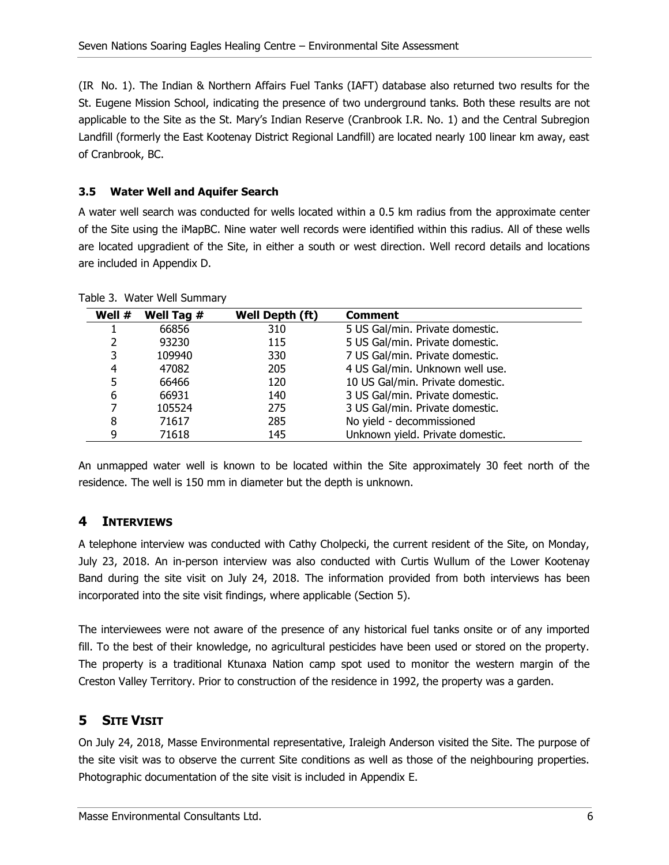(IR No. 1). The Indian & Northern Affairs Fuel Tanks (IAFT) database also returned two results for the St. Eugene Mission School, indicating the presence of two underground tanks. Both these results are not applicable to the Site as the St. Mary's Indian Reserve (Cranbrook I.R. No. 1) and the Central Subregion Landfill (formerly the East Kootenay District Regional Landfill) are located nearly 100 linear km away, east of Cranbrook, BC.

### <span id="page-11-0"></span>**3.5 Water Well and Aquifer Search**

A water well search was conducted for wells located within a 0.5 km radius from the approximate center of the Site using the iMapBC. Nine water well records were identified within this radius. All of these wells are located upgradient of the Site, in either a south or west direction. Well record details and locations are included in Appendix D.

| Well # | Well Tag # | Well Depth (ft) | <b>Comment</b>                   |
|--------|------------|-----------------|----------------------------------|
|        | 66856      | 310             | 5 US Gal/min. Private domestic.  |
|        | 93230      | 115             | 5 US Gal/min. Private domestic.  |
| 3      | 109940     | 330             | 7 US Gal/min. Private domestic.  |
| 4      | 47082      | 205             | 4 US Gal/min. Unknown well use.  |
| 5      | 66466      | 120             | 10 US Gal/min. Private domestic. |
| 6      | 66931      | 140             | 3 US Gal/min. Private domestic.  |
| 7      | 105524     | 275             | 3 US Gal/min. Private domestic.  |
| 8      | 71617      | 285             | No yield - decommissioned        |
| 9      | 71618      | 145             | Unknown yield. Private domestic. |

<span id="page-11-3"></span>Table 3. Water Well Summary

An unmapped water well is known to be located within the Site approximately 30 feet north of the residence. The well is 150 mm in diameter but the depth is unknown.

### <span id="page-11-1"></span>**4 INTERVIEWS**

A telephone interview was conducted with Cathy Cholpecki, the current resident of the Site, on Monday, July 23, 2018. An in-person interview was also conducted with Curtis Wullum of the Lower Kootenay Band during the site visit on July 24, 2018. The information provided from both interviews has been incorporated into the site visit findings, where applicable (Section [5\)](#page-11-2).

The interviewees were not aware of the presence of any historical fuel tanks onsite or of any imported fill. To the best of their knowledge, no agricultural pesticides have been used or stored on the property. The property is a traditional Ktunaxa Nation camp spot used to monitor the western margin of the Creston Valley Territory. Prior to construction of the residence in 1992, the property was a garden.

### <span id="page-11-2"></span>**5 SITE VISIT**

On July 24, 2018, Masse Environmental representative, Iraleigh Anderson visited the Site. The purpose of the site visit was to observe the current Site conditions as well as those of the neighbouring properties. Photographic documentation of the site visit is included in Appendix E.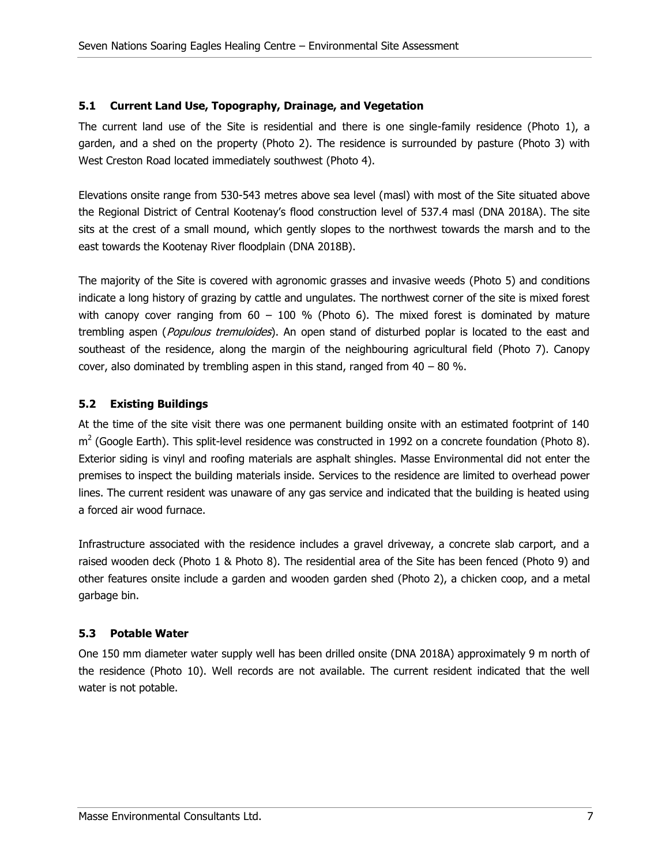#### <span id="page-12-0"></span>**5.1 Current Land Use, Topography, Drainage, and Vegetation**

The current land use of the Site is residential and there is one single-family residence [\(Photo 1\)](#page-54-0), a garden, and a shed on the property [\(Photo 2\)](#page-54-1). The residence is surrounded by pasture [\(Photo 3\)](#page-54-2) with West Creston Road located immediately southwest [\(Photo 4\)](#page-54-3).

Elevations onsite range from 530-543 metres above sea level (masl) with most of the Site situated above the Regional District of Central Kootenay's flood construction level of 537.4 masl (DNA 2018A). The site sits at the crest of a small mound, which gently slopes to the northwest towards the marsh and to the east towards the Kootenay River floodplain (DNA 2018B).

The majority of the Site is covered with agronomic grasses and invasive weeds [\(Photo 5\)](#page-54-4) and conditions indicate a long history of grazing by cattle and ungulates. The northwest corner of the site is mixed forest with canopy cover ranging from  $60 - 100$  % [\(Photo 6\)](#page-54-5). The mixed forest is dominated by mature trembling aspen (*Populous tremuloides*). An open stand of disturbed poplar is located to the east and southeast of the residence, along the margin of the neighbouring agricultural field [\(Photo 7\)](#page-55-0). Canopy cover, also dominated by trembling aspen in this stand, ranged from  $40 - 80$  %.

### <span id="page-12-1"></span>**5.2 Existing Buildings**

At the time of the site visit there was one permanent building onsite with an estimated footprint of 140  $m^2$  (Google Earth). This split-level residence was constructed in 1992 on a concrete foundation [\(Photo 8\)](#page-55-1). Exterior siding is vinyl and roofing materials are asphalt shingles. Masse Environmental did not enter the premises to inspect the building materials inside. Services to the residence are limited to overhead power lines. The current resident was unaware of any gas service and indicated that the building is heated using a forced air wood furnace.

Infrastructure associated with the residence includes a gravel driveway, a concrete slab carport, and a raised wooden deck [\(Photo 1](#page-54-0) & [Photo 8\)](#page-55-1). The residential area of the Site has been fenced [\(Photo 9\)](#page-55-2) and other features onsite include a garden and wooden garden shed [\(Photo 2\)](#page-54-1), a chicken coop, and a metal garbage bin.

#### <span id="page-12-2"></span>**5.3 Potable Water**

One 150 mm diameter water supply well has been drilled onsite (DNA 2018A) approximately 9 m north of the residence [\(Photo 10\)](#page-55-3). Well records are not available. The current resident indicated that the well water is not potable.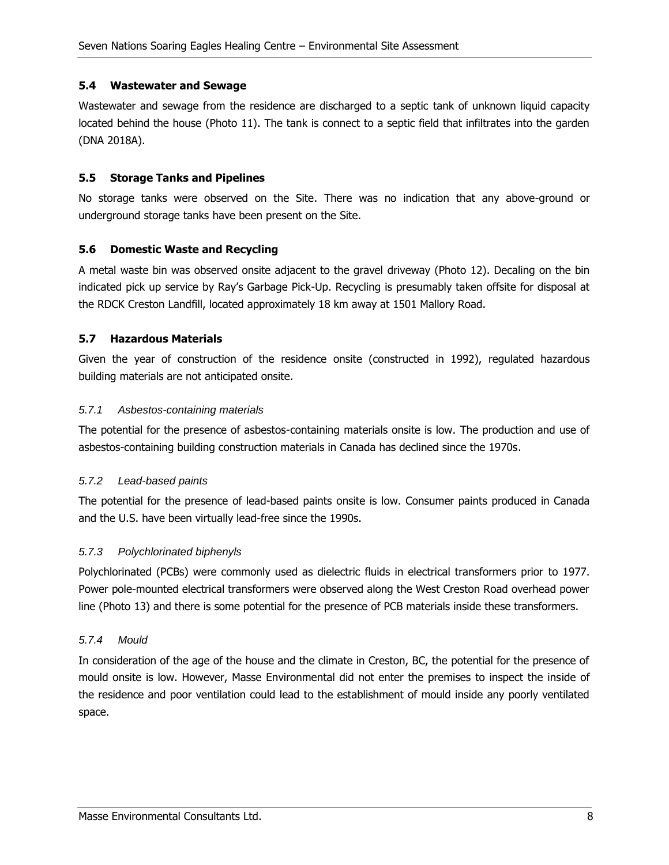#### <span id="page-13-0"></span>**5.4 Wastewater and Sewage**

Wastewater and sewage from the residence are discharged to a septic tank of unknown liquid capacity located behind the house [\(Photo 11\)](#page-55-4). The tank is connect to a septic field that infiltrates into the garden (DNA 2018A).

#### <span id="page-13-1"></span>**5.5 Storage Tanks and Pipelines**

No storage tanks were observed on the Site. There was no indication that any above-ground or underground storage tanks have been present on the Site.

#### <span id="page-13-2"></span>**5.6 Domestic Waste and Recycling**

A metal waste bin was observed onsite adjacent to the gravel driveway [\(Photo 12\)](#page-55-5). Decaling on the bin indicated pick up service by Ray's Garbage Pick-Up. Recycling is presumably taken offsite for disposal at the RDCK Creston Landfill, located approximately 18 km away at 1501 Mallory Road.

#### <span id="page-13-3"></span>**5.7 Hazardous Materials**

Given the year of construction of the residence onsite (constructed in 1992), regulated hazardous building materials are not anticipated onsite.

#### <span id="page-13-4"></span>5.7.1 Asbestos-containing materials

The potential for the presence of asbestos-containing materials onsite is low. The production and use of asbestos-containing building construction materials in Canada has declined since the 1970s.

#### <span id="page-13-5"></span>5.7.2 Lead-based paints

The potential for the presence of lead-based paints onsite is low. Consumer paints produced in Canada and the U.S. have been virtually lead-free since the 1990s.

#### <span id="page-13-6"></span>5.7.3 Polychlorinated biphenyls

Polychlorinated (PCBs) were commonly used as dielectric fluids in electrical transformers prior to 1977. Power pole-mounted electrical transformers were observed along the West Creston Road overhead power line [\(Photo 13\)](#page-56-0) and there is some potential for the presence of PCB materials inside these transformers.

#### <span id="page-13-7"></span>5.7.4 Mould

In consideration of the age of the house and the climate in Creston, BC, the potential for the presence of mould onsite is low. However, Masse Environmental did not enter the premises to inspect the inside of the residence and poor ventilation could lead to the establishment of mould inside any poorly ventilated space.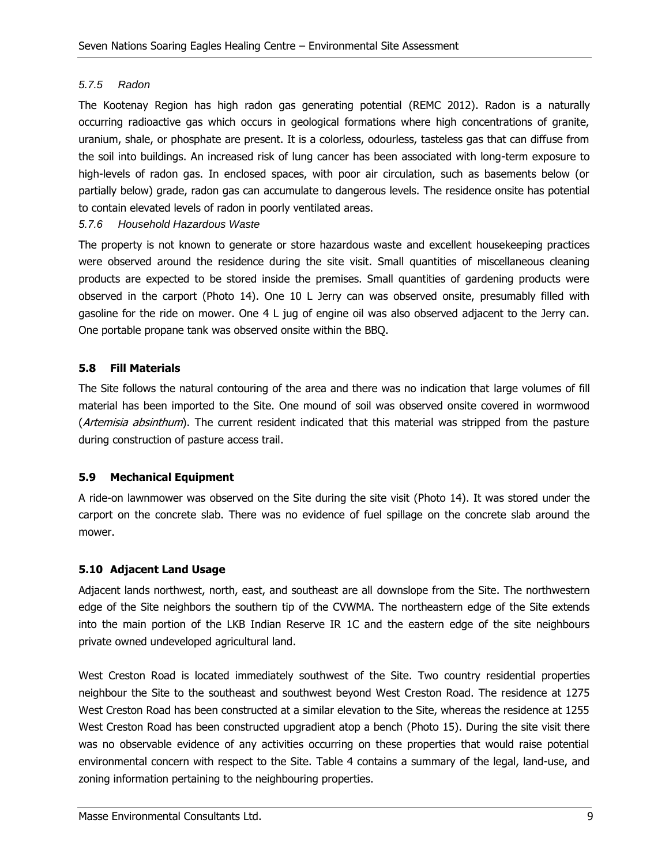#### <span id="page-14-0"></span>5.7.5 Radon

The Kootenay Region has high radon gas generating potential (REMC 2012). Radon is a naturally occurring radioactive gas which occurs in geological formations where high concentrations of granite, uranium, shale, or phosphate are present. It is a colorless, odourless, tasteless gas that can diffuse from the soil into buildings. An increased risk of lung cancer has been associated with long-term exposure to high-levels of radon gas. In enclosed spaces, with poor air circulation, such as basements below (or partially below) grade, radon gas can accumulate to dangerous levels. The residence onsite has potential to contain elevated levels of radon in poorly ventilated areas.

#### <span id="page-14-1"></span>5.7.6 Household Hazardous Waste

The property is not known to generate or store hazardous waste and excellent housekeeping practices were observed around the residence during the site visit. Small quantities of miscellaneous cleaning products are expected to be stored inside the premises. Small quantities of gardening products were observed in the carport [\(Photo 14\)](#page-56-1). One 10 L Jerry can was observed onsite, presumably filled with gasoline for the ride on mower. One 4 L jug of engine oil was also observed adjacent to the Jerry can. One portable propane tank was observed onsite within the BBQ.

#### <span id="page-14-2"></span>**5.8 Fill Materials**

The Site follows the natural contouring of the area and there was no indication that large volumes of fill material has been imported to the Site. One mound of soil was observed onsite covered in wormwood (Artemisia absinthum). The current resident indicated that this material was stripped from the pasture during construction of pasture access trail.

#### <span id="page-14-3"></span>**5.9 Mechanical Equipment**

A ride-on lawnmower was observed on the Site during the site visit [\(Photo 14\)](#page-56-1). It was stored under the carport on the concrete slab. There was no evidence of fuel spillage on the concrete slab around the mower.

#### <span id="page-14-4"></span>**5.10 Adjacent Land Usage**

Adjacent lands northwest, north, east, and southeast are all downslope from the Site. The northwestern edge of the Site neighbors the southern tip of the CVWMA. The northeastern edge of the Site extends into the main portion of the LKB Indian Reserve IR 1C and the eastern edge of the site neighbours private owned undeveloped agricultural land.

West Creston Road is located immediately southwest of the Site. Two country residential properties neighbour the Site to the southeast and southwest beyond West Creston Road. The residence at 1275 West Creston Road has been constructed at a similar elevation to the Site, whereas the residence at 1255 West Creston Road has been constructed upgradient atop a bench [\(Photo 15\)](#page-56-2). During the site visit there was no observable evidence of any activities occurring on these properties that would raise potential environmental concern with respect to the Site. Table 4 contains a summary of the legal, land-use, and zoning information pertaining to the neighbouring properties.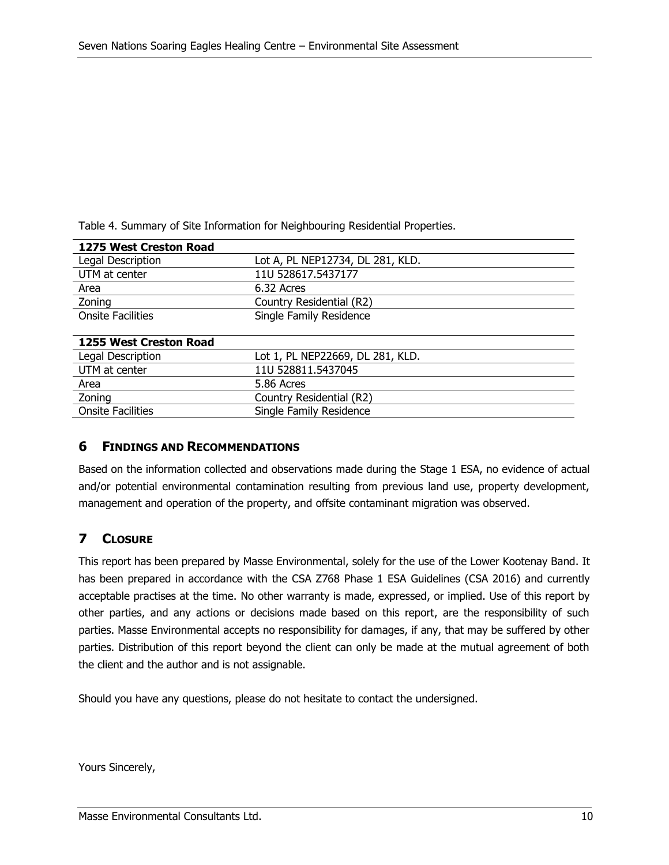<span id="page-15-2"></span>Table 4. Summary of Site Information for Neighbouring Residential Properties.

| 1275 West Creston Road   |                                  |  |  |
|--------------------------|----------------------------------|--|--|
| Legal Description        | Lot A, PL NEP12734, DL 281, KLD. |  |  |
| UTM at center            | 11U 528617.5437177               |  |  |
| Area                     | 6.32 Acres                       |  |  |
| Zoning                   | Country Residential (R2)         |  |  |
| <b>Onsite Facilities</b> | Single Family Residence          |  |  |
|                          |                                  |  |  |
| 1255 West Creston Road   |                                  |  |  |
| Legal Description        | Lot 1, PL NEP22669, DL 281, KLD. |  |  |
| UTM at center            | 11U 528811.5437045               |  |  |
| Area                     | 5.86 Acres                       |  |  |
| Zoning                   | Country Residential (R2)         |  |  |
| <b>Onsite Facilities</b> | Single Family Residence          |  |  |

#### <span id="page-15-0"></span>**6 FINDINGS AND RECOMMENDATIONS**

Based on the information collected and observations made during the Stage 1 ESA, no evidence of actual and/or potential environmental contamination resulting from previous land use, property development, management and operation of the property, and offsite contaminant migration was observed.

### <span id="page-15-1"></span>**7 CLOSURE**

This report has been prepared by Masse Environmental, solely for the use of the Lower Kootenay Band. It has been prepared in accordance with the CSA Z768 Phase 1 ESA Guidelines (CSA 2016) and currently acceptable practises at the time. No other warranty is made, expressed, or implied. Use of this report by other parties, and any actions or decisions made based on this report, are the responsibility of such parties. Masse Environmental accepts no responsibility for damages, if any, that may be suffered by other parties. Distribution of this report beyond the client can only be made at the mutual agreement of both the client and the author and is not assignable.

Should you have any questions, please do not hesitate to contact the undersigned.

Yours Sincerely,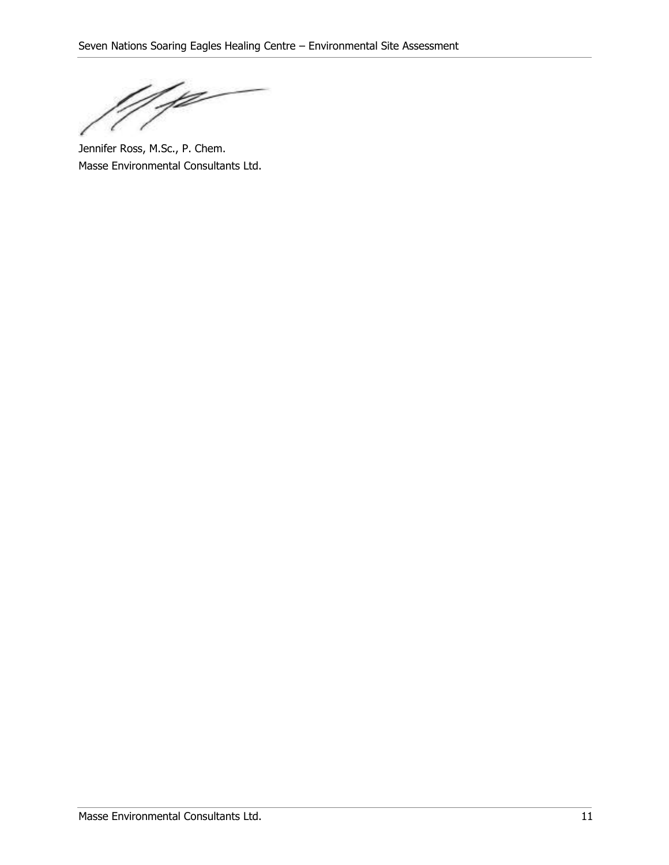Y

Jennifer Ross, M.Sc., P. Chem. Masse Environmental Consultants Ltd.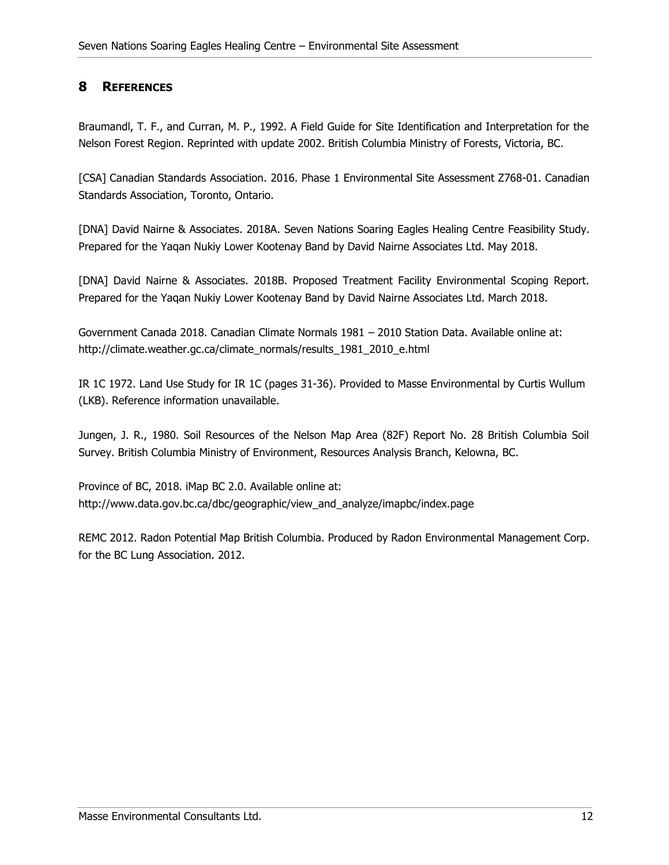### <span id="page-17-0"></span>**8 REFERENCES**

Braumandl, T. F., and Curran, M. P., 1992. A Field Guide for Site Identification and Interpretation for the Nelson Forest Region. Reprinted with update 2002. British Columbia Ministry of Forests, Victoria, BC.

[CSA] Canadian Standards Association. 2016. Phase 1 Environmental Site Assessment Z768-01. Canadian Standards Association, Toronto, Ontario.

[DNA] David Nairne & Associates. 2018A. Seven Nations Soaring Eagles Healing Centre Feasibility Study. Prepared for the Yaqan Nukiy Lower Kootenay Band by David Nairne Associates Ltd. May 2018.

[DNA] David Nairne & Associates. 2018B. Proposed Treatment Facility Environmental Scoping Report. Prepared for the Yaqan Nukiy Lower Kootenay Band by David Nairne Associates Ltd. March 2018.

Government Canada 2018. Canadian Climate Normals 1981 – 2010 Station Data. Available online at: http://climate.weather.gc.ca/climate\_normals/results\_1981\_2010\_e.html

IR 1C 1972. Land Use Study for IR 1C (pages 31-36). Provided to Masse Environmental by Curtis Wullum (LKB). Reference information unavailable.

Jungen, J. R., 1980. Soil Resources of the Nelson Map Area (82F) Report No. 28 British Columbia Soil Survey. British Columbia Ministry of Environment, Resources Analysis Branch, Kelowna, BC.

Province of BC, 2018. iMap BC 2.0. Available online at: http://www.data.gov.bc.ca/dbc/geographic/view\_and\_analyze/imapbc/index.page

REMC 2012. Radon Potential Map British Columbia. Produced by Radon Environmental Management Corp. for the BC Lung Association. 2012.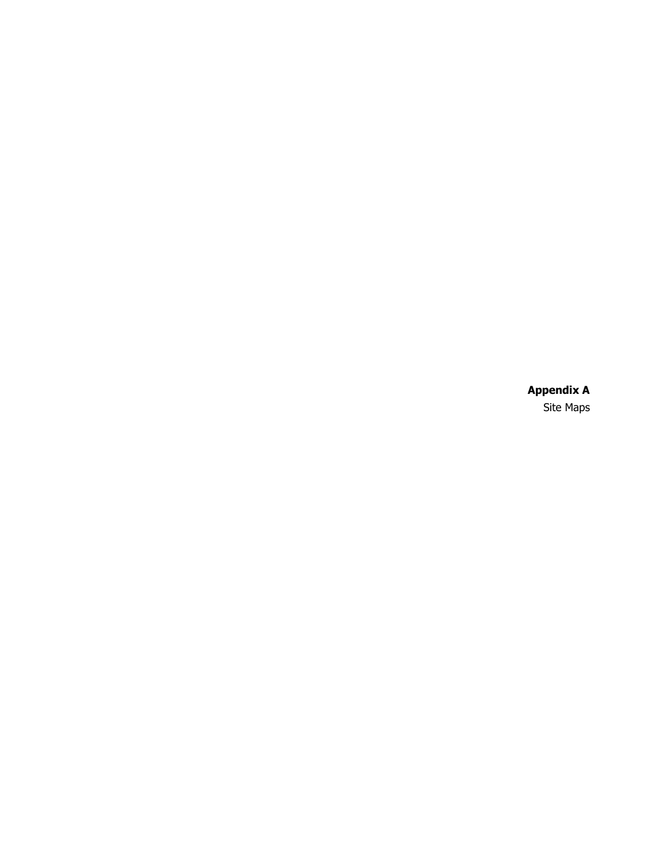**Appendix A** Site Maps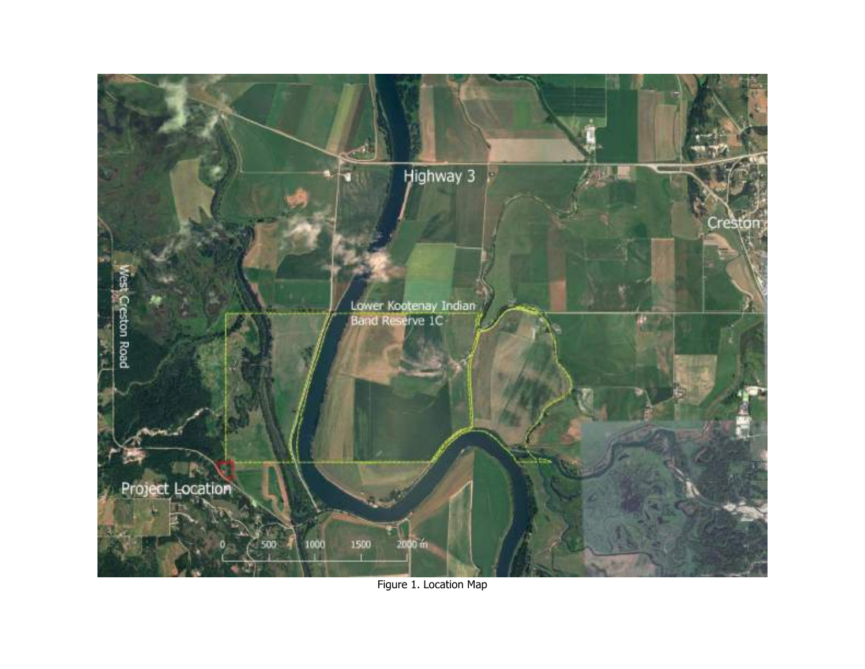

Figure 1. Location Map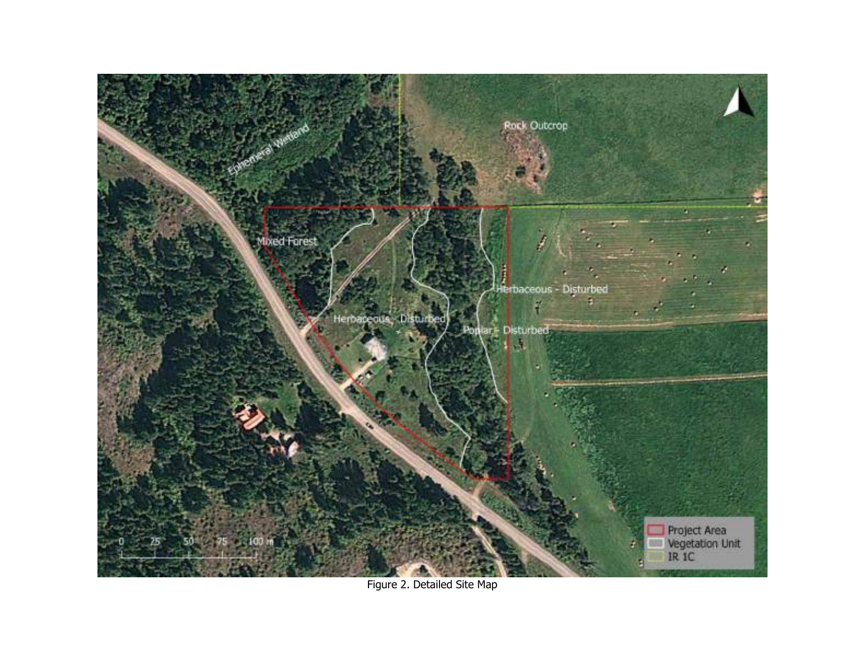

Figure 2. Detailed Site Map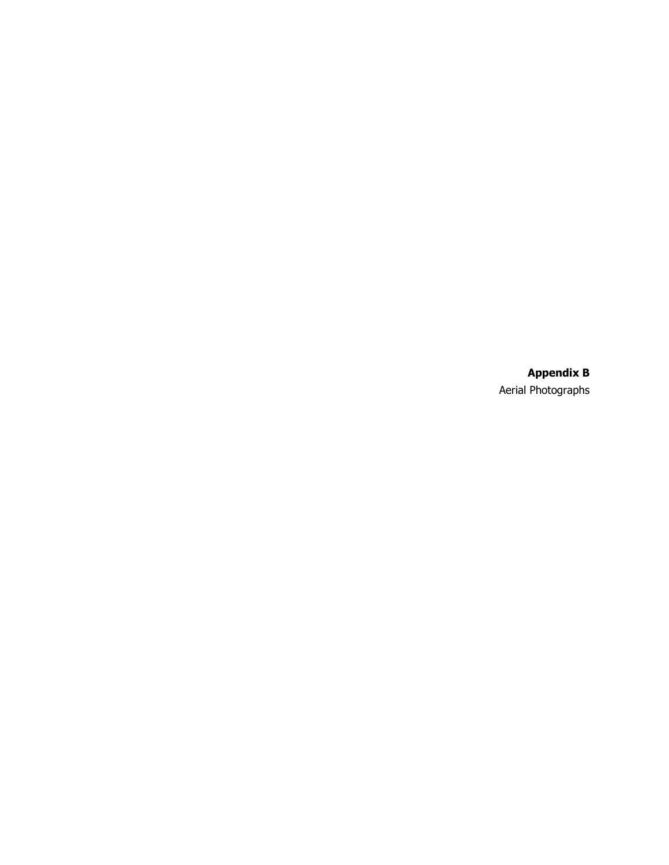**Appendix B** Aerial Photographs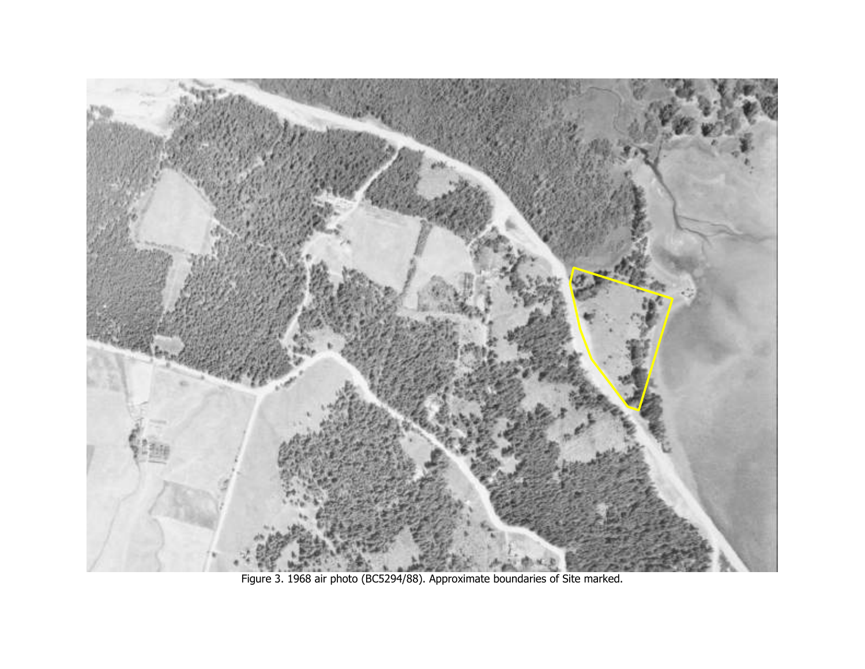

Figure 3. 1968 air photo (BC5294/88). Approximate boundaries of Site marked.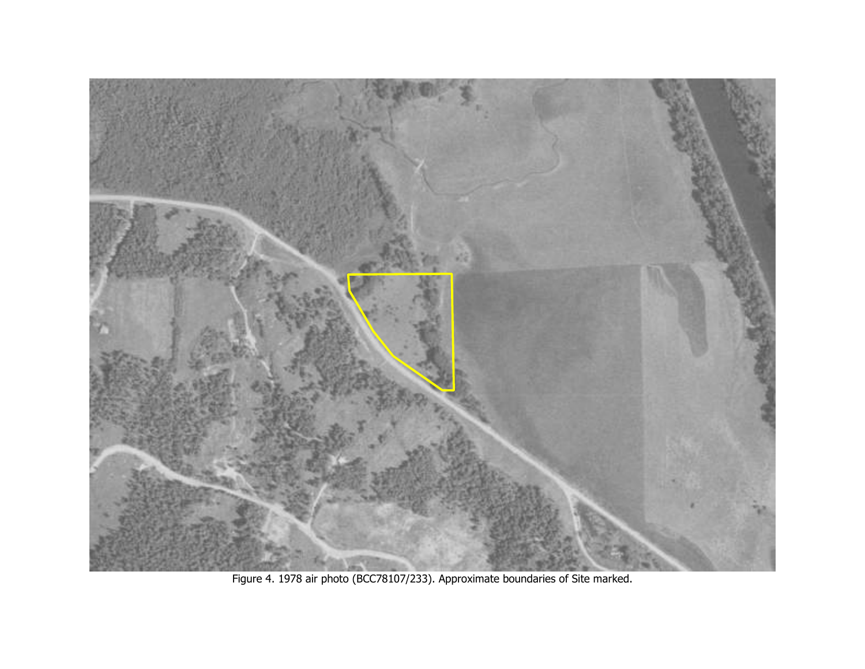

Figure 4. 1978 air photo (BCC78107/233). Approximate boundaries of Site marked.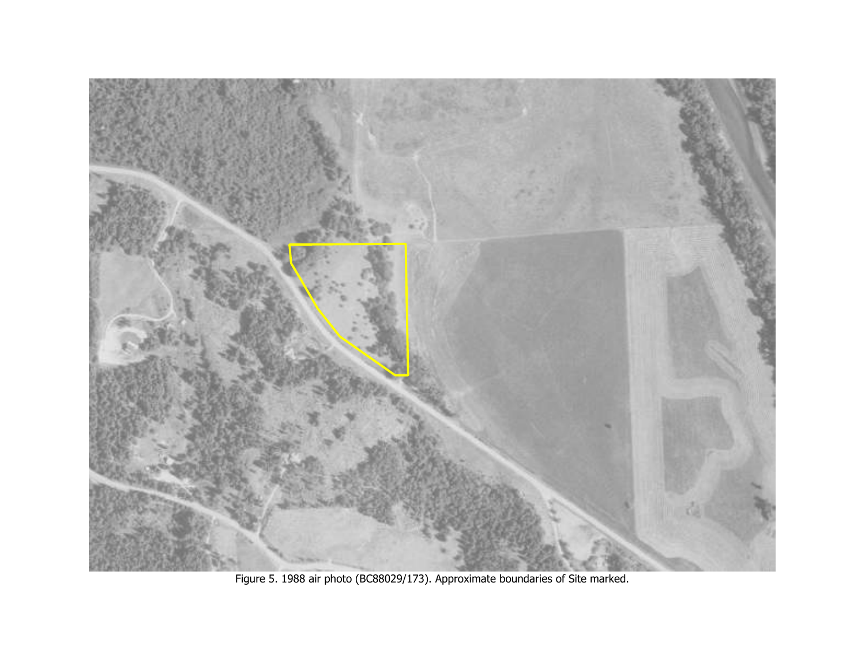

Figure 5. 1988 air photo (BC88029/173). Approximate boundaries of Site marked.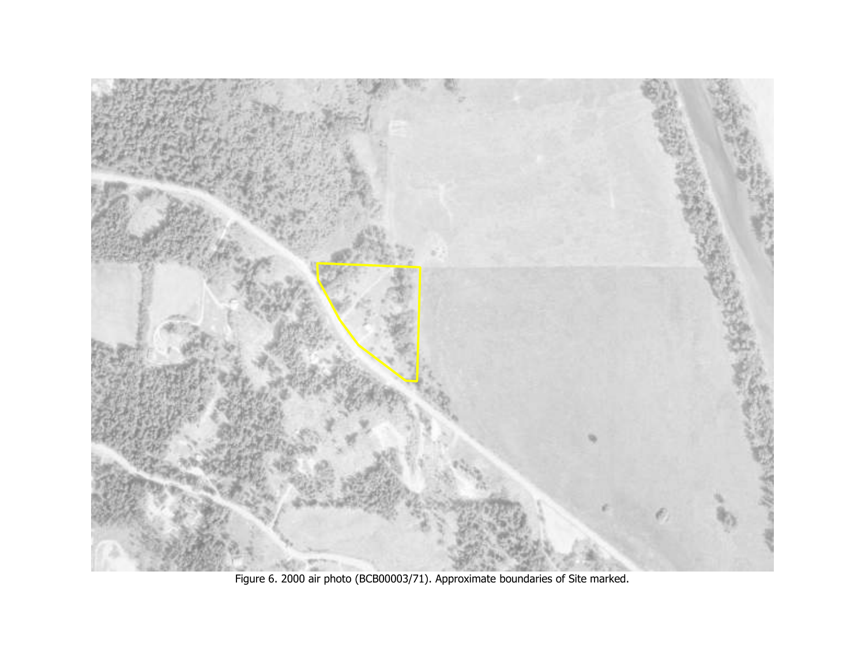

Figure 6. 2000 air photo (BCB00003/71). Approximate boundaries of Site marked.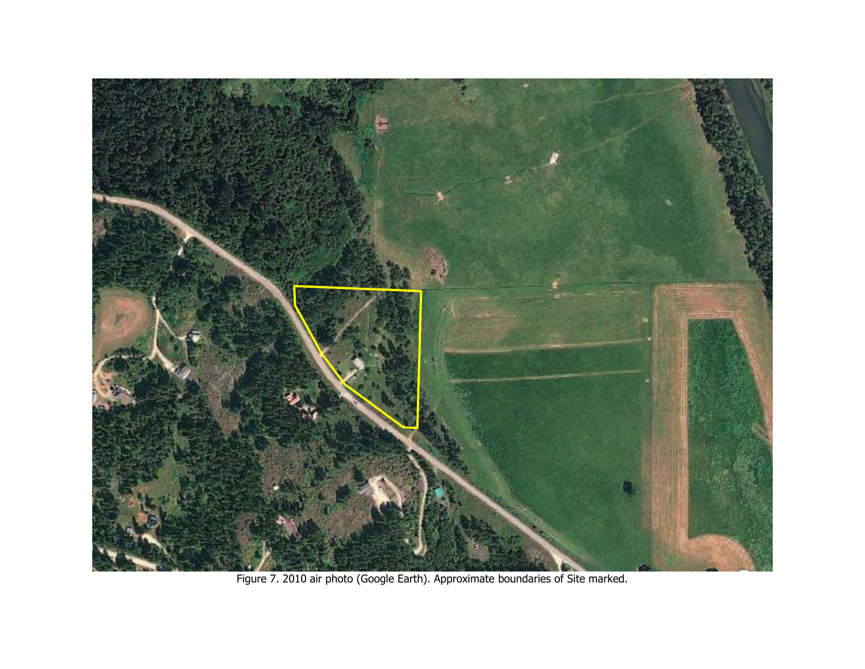

Figure 7. 2010 air photo (Google Earth). Approximate boundaries of Site marked.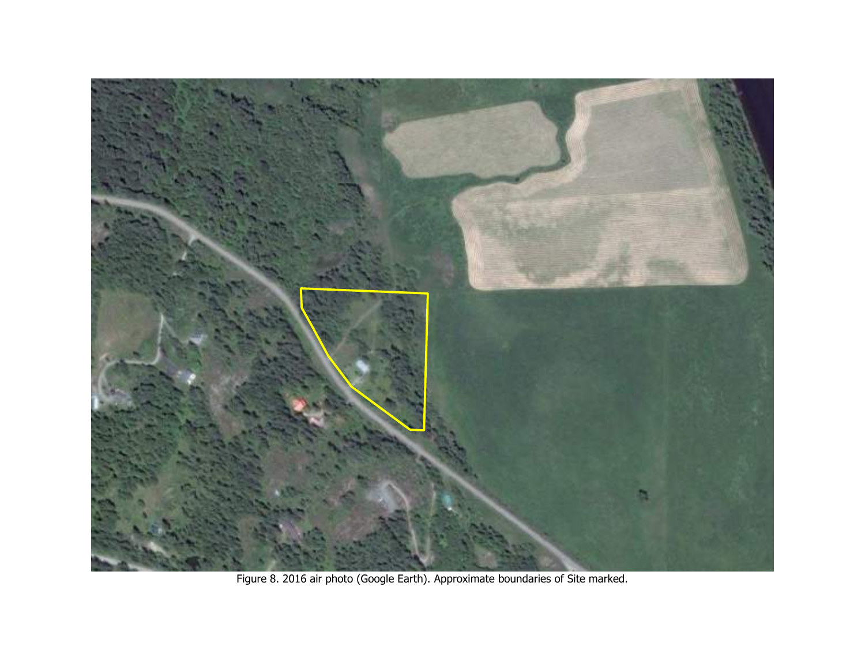

Figure 8. 2016 air photo (Google Earth). Approximate boundaries of Site marked.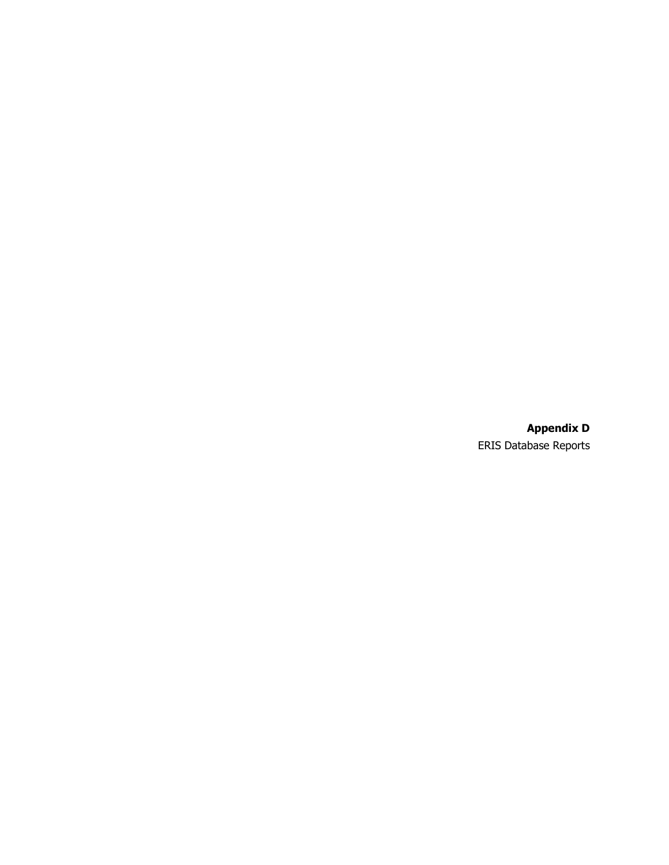**Appendix D** ERIS Database Reports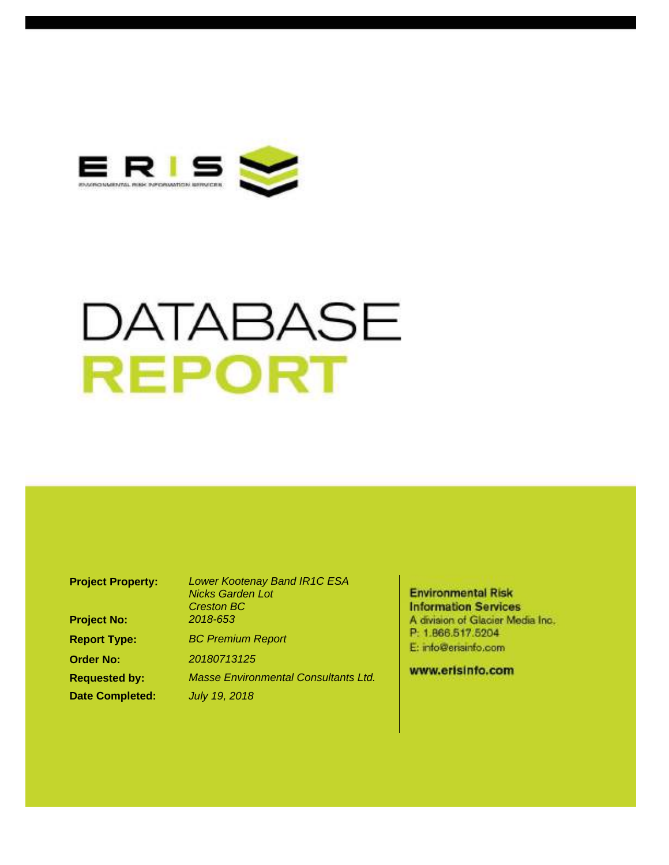

# DATABASE **REPORT**

<span id="page-30-0"></span>

| <b>Project Property:</b> | <b>Lower Kootenay Band IR1C ESA</b><br><b>Nicks Garden Lot</b><br><b>Creston BC</b> |
|--------------------------|-------------------------------------------------------------------------------------|
| <b>Project No:</b>       | 2018-653                                                                            |
| <b>Report Type:</b>      | <b>BC Premium Report</b>                                                            |
| <b>Order No:</b>         | 20180713125                                                                         |
| <b>Requested by:</b>     | <b>Masse Environmental Consultants Ltd.</b>                                         |
| <b>Date Completed:</b>   | <b>July 19, 2018</b>                                                                |

**Environmental Risk Information Services** A division of Glacier Media Inc. P: 1.866.517.5204 E: info@erisinfo.com

www.erisinfo.com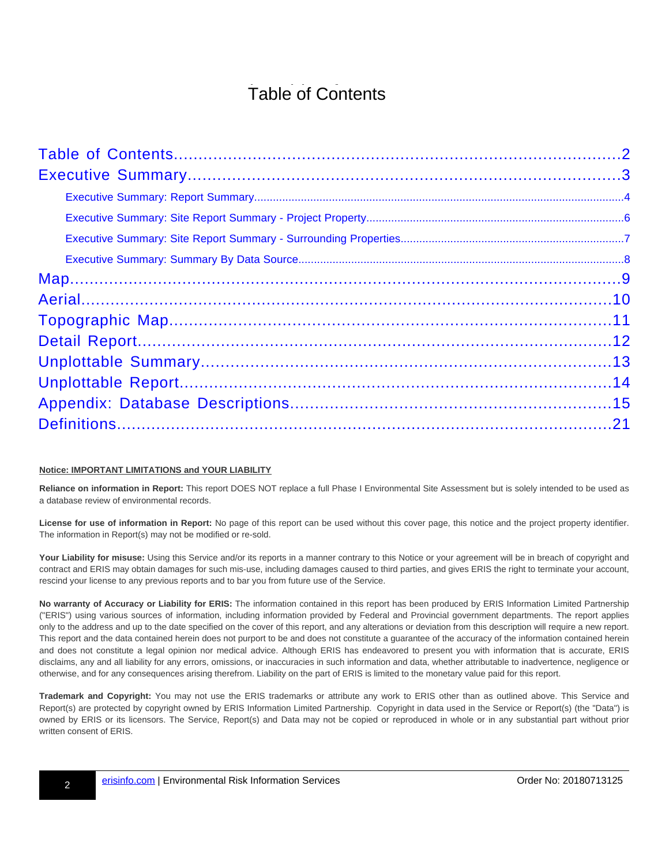## Table of Contents

#### **Notice: IMPORTANT LIMITATIONS and YOUR LIABILITY**

**Reliance on information in Report:** This report DOES NOT replace a full Phase I Environmental Site Assessment but is solely intended to be used as a database review of environmental records.

**License for use of information in Report:** No page of this report can be used without this cover page, this notice and the project property identifier. The information in Report(s) may not be modified or re-sold.

**Your Liability for misuse:** Using this Service and/or its reports in a manner contrary to this Notice or your agreement will be in breach of copyright and contract and ERIS may obtain damages for such mis-use, including damages caused to third parties, and gives ERIS the right to terminate your account, rescind your license to any previous reports and to bar you from future use of the Service.

**No warranty of Accuracy or Liability for ERIS:** The information contained in this report has been produced by ERIS Information Limited Partnership ("ERIS") using various sources of information, including information provided by Federal and Provincial government departments. The report applies only to the address and up to the date specified on the cover of this report, and any alterations or deviation from this description will require a new report. This report and the data contained herein does not purport to be and does not constitute a guarantee of the accuracy of the information contained herein and does not constitute a legal opinion nor medical advice. Although ERIS has endeavored to present you with information that is accurate, ERIS disclaims, any and all liability for any errors, omissions, or inaccuracies in such information and data, whether attributable to inadvertence, negligence or otherwise, and for any consequences arising therefrom. Liability on the part of ERIS is limited to the monetary value paid for this report.

<span id="page-31-0"></span>**Trademark and Copyright:** You may not use the ERIS trademarks or attribute any work to ERIS other than as outlined above. This Service and Report(s) are protected by copyright owned by ERIS Information Limited Partnership. Copyright in data used in the Service or Report(s) (the "Data") is owned by ERIS or its licensors. The Service, Report(s) and Data may not be copied or reproduced in whole or in any substantial part without prior written consent of ERIS.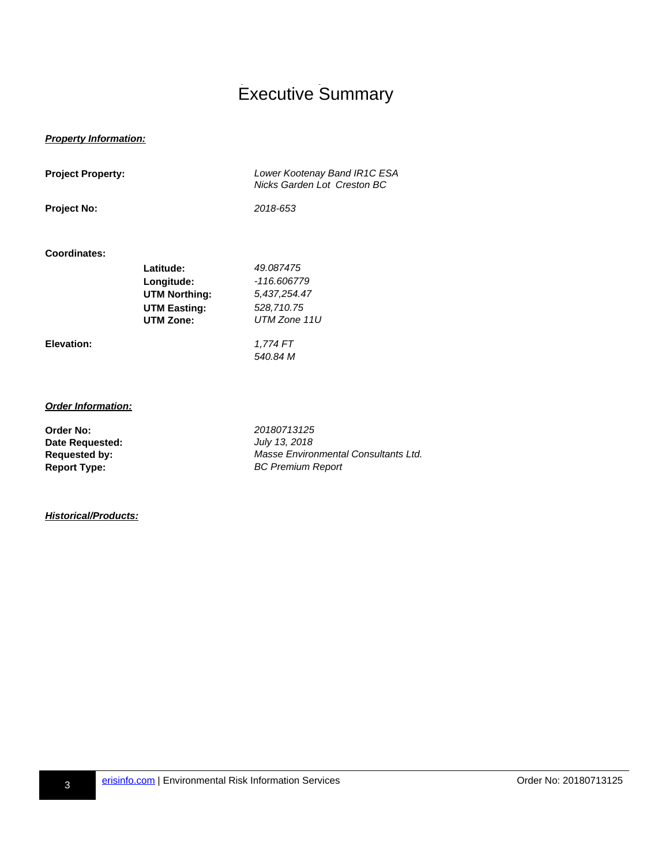## Executive Summary

#### **Property Information:**

| <b>Project Property:</b> |                      | Lower Kootenay Band IR1C ESA<br>Nicks Garden Lot Creston BC |  |
|--------------------------|----------------------|-------------------------------------------------------------|--|
| <b>Project No:</b>       |                      | 2018-653                                                    |  |
| Coordinates:             |                      |                                                             |  |
|                          | Latitude:            | 49.087475                                                   |  |
|                          | Longitude:           | -116.606779                                                 |  |
|                          | <b>UTM Northing:</b> | 5,437,254.47                                                |  |
|                          | <b>UTM Easting:</b>  | 528,710.75                                                  |  |
|                          | <b>UTM Zone:</b>     | UTM Zone 11U                                                |  |
| Elevation:               |                      | 1,774 FT                                                    |  |
|                          |                      | 540.84 M                                                    |  |
|                          |                      |                                                             |  |
|                          |                      |                                                             |  |

#### **Order Information:**

**Order No:** 20180713125<br> **Date Requested:** 2018 *July* 13, 2018 **Date Requested:** 

Requested by: **Masse Environmental Consultants Ltd. Report Type:** BC Premium Report

#### <span id="page-32-0"></span>**Historical/Products:**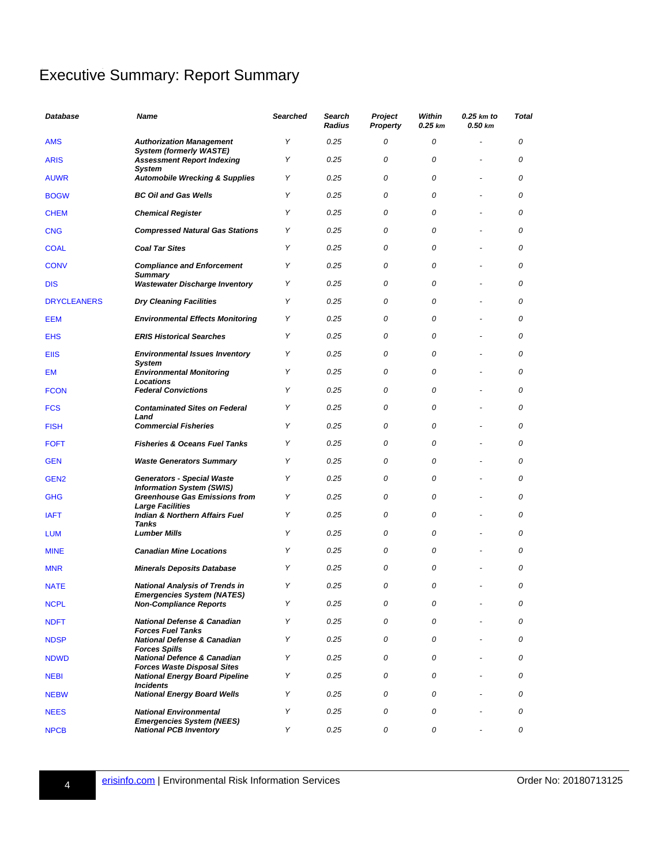### Executive Summary: Report Summary

<span id="page-33-33"></span><span id="page-33-32"></span><span id="page-33-31"></span><span id="page-33-30"></span><span id="page-33-29"></span><span id="page-33-28"></span><span id="page-33-27"></span><span id="page-33-26"></span><span id="page-33-25"></span><span id="page-33-24"></span><span id="page-33-23"></span><span id="page-33-22"></span><span id="page-33-21"></span><span id="page-33-20"></span><span id="page-33-19"></span><span id="page-33-18"></span><span id="page-33-17"></span><span id="page-33-16"></span><span id="page-33-15"></span><span id="page-33-14"></span><span id="page-33-13"></span><span id="page-33-12"></span><span id="page-33-11"></span><span id="page-33-10"></span><span id="page-33-9"></span><span id="page-33-8"></span><span id="page-33-7"></span><span id="page-33-6"></span><span id="page-33-5"></span><span id="page-33-4"></span><span id="page-33-3"></span><span id="page-33-2"></span><span id="page-33-1"></span><span id="page-33-0"></span>

| Database           | Name                                                                          | Searched | Search<br>Radius | Project<br><b>Property</b> | Within<br>0.25 km | $0.25$ km to<br>0.50 km | <b>Total</b> |
|--------------------|-------------------------------------------------------------------------------|----------|------------------|----------------------------|-------------------|-------------------------|--------------|
| <b>AMS</b>         | <b>Authorization Management</b>                                               | Y        | 0.25             | 0                          | 0                 |                         | 0            |
| <b>ARIS</b>        | <b>System (formerly WASTE)</b><br><b>Assessment Report Indexing</b><br>System | Y        | 0.25             | 0                          | 0                 |                         | 0            |
| <b>AUWR</b>        | <b>Automobile Wrecking &amp; Supplies</b>                                     | Υ        | 0.25             | 0                          | 0                 |                         | 0            |
| <b>BOGW</b>        | <b>BC Oil and Gas Wells</b>                                                   | Y        | 0.25             | 0                          | 0                 |                         | 0            |
| <b>CHEM</b>        | <b>Chemical Register</b>                                                      | Y        | 0.25             | 0                          | 0                 |                         | 0            |
| <b>CNG</b>         | <b>Compressed Natural Gas Stations</b>                                        | Υ        | 0.25             | 0                          | 0                 |                         | 0            |
| <b>COAL</b>        | <b>Coal Tar Sites</b>                                                         | Y        | 0.25             | 0                          | 0                 |                         | 0            |
| <b>CONV</b>        | <b>Compliance and Enforcement</b><br>Summary                                  | Y        | 0.25             | 0                          | 0                 |                         | 0            |
| <b>DIS</b>         | <b>Wastewater Discharge Inventory</b>                                         | Y        | 0.25             | 0                          | 0                 |                         | 0            |
| <b>DRYCLEANERS</b> | <b>Dry Cleaning Facilities</b>                                                | Y        | 0.25             | 0                          | 0                 |                         | 0            |
| <b>EEM</b>         | <b>Environmental Effects Monitoring</b>                                       | Υ        | 0.25             | 0                          | 0                 |                         | 0            |
| <b>EHS</b>         | <b>ERIS Historical Searches</b>                                               | Y        | 0.25             | 0                          | 0                 |                         | 0            |
| <b>EIIS</b>        | <b>Environmental Issues Inventory</b><br>System                               | Y        | 0.25             | 0                          | 0                 |                         | 0            |
| EM                 | <b>Environmental Monitoring</b><br>Locations                                  | Y        | 0.25             | 0                          | 0                 |                         | 0            |
| <b>FCON</b>        | <b>Federal Convictions</b>                                                    | Y        | 0.25             | 0                          | 0                 |                         | 0            |
| <b>FCS</b>         | <b>Contaminated Sites on Federal</b><br>Land                                  | Υ        | 0.25             | 0                          | 0                 |                         | 0            |
| <b>FISH</b>        | <b>Commercial Fisheries</b>                                                   | Y        | 0.25             | 0                          | 0                 |                         | 0            |
| <b>FOFT</b>        | <b>Fisheries &amp; Oceans Fuel Tanks</b>                                      | Υ        | 0.25             | 0                          | 0                 |                         | 0            |
| <b>GEN</b>         | <b>Waste Generators Summary</b>                                               | Υ        | 0.25             | 0                          | 0                 |                         | 0            |
| GEN <sub>2</sub>   | <b>Generators - Special Waste</b><br><b>Information System (SWIS)</b>         | Y        | 0.25             | 0                          | 0                 |                         | 0            |
| <b>GHG</b>         | <b>Greenhouse Gas Emissions from</b><br><b>Large Facilities</b>               | Y        | 0.25             | 0                          | 0                 |                         | 0            |
| <b>IAFT</b>        | Indian & Northern Affairs Fuel<br><b>Tanks</b>                                | Y        | 0.25             | 0                          | 0                 |                         | 0            |
| <b>LUM</b>         | <b>Lumber Mills</b>                                                           | Y        | 0.25             | 0                          | 0                 |                         | 0            |
| <b>MINE</b>        | <b>Canadian Mine Locations</b>                                                | Υ        | 0.25             | 0                          | 0                 |                         | 0            |
| <b>MNR</b>         | <b>Minerals Deposits Database</b>                                             | Υ        | 0.25             | 0                          | 0                 |                         | 0            |
| <b>NATE</b>        | <b>National Analysis of Trends in</b>                                         | Y        | 0.25             | 0                          | 0                 |                         | 0            |
| <b>NCPL</b>        | <b>Emergencies System (NATES)</b><br><b>Non-Compliance Reports</b>            | Υ        | 0.25             | 0                          | 0                 |                         | 0            |
| <b>NDFT</b>        | <b>National Defense &amp; Canadian</b><br><b>Forces Fuel Tanks</b>            | Υ        | 0.25             | 0                          | 0                 |                         | 0            |
| <b>NDSP</b>        | <b>National Defense &amp; Canadian</b>                                        | Υ        | 0.25             | 0                          | 0                 |                         | 0            |
| <b>NDWD</b>        | <b>Forces Spills</b><br><b>National Defence &amp; Canadian</b>                | Υ        | 0.25             | 0                          | 0                 |                         | 0            |
| <b>NEBI</b>        | <b>Forces Waste Disposal Sites</b><br><b>National Energy Board Pipeline</b>   | Υ        | 0.25             | 0                          | 0                 |                         | 0            |
| <b>NEBW</b>        | <b>Incidents</b><br><b>National Energy Board Wells</b>                        | Υ        | 0.25             | 0                          | 0                 |                         | 0            |
| <b>NEES</b>        | <b>National Environmental</b>                                                 | Υ        | 0.25             | 0                          | 0                 |                         | 0            |
| <b>NPCB</b>        | <b>Emergencies System (NEES)</b><br><b>National PCB Inventory</b>             | Υ        | 0.25             | 0                          | 0                 |                         | 0            |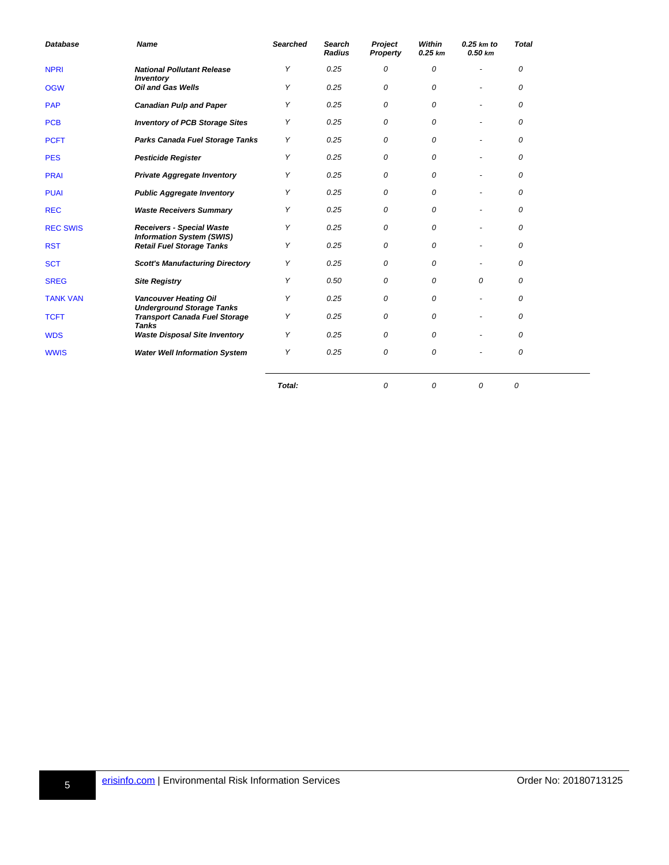<span id="page-34-17"></span><span id="page-34-16"></span><span id="page-34-15"></span><span id="page-34-14"></span><span id="page-34-13"></span><span id="page-34-12"></span><span id="page-34-11"></span><span id="page-34-10"></span><span id="page-34-9"></span><span id="page-34-8"></span><span id="page-34-7"></span><span id="page-34-6"></span><span id="page-34-5"></span><span id="page-34-4"></span><span id="page-34-3"></span><span id="page-34-2"></span><span id="page-34-1"></span>

| <b>Database</b> | <b>Name</b>                                                              | <b>Searched</b> | <b>Search</b><br><b>Radius</b> | Project<br>Property | Within<br>$0.25$ km | $0.25$ km to<br>0.50 km  | <b>Total</b> |  |
|-----------------|--------------------------------------------------------------------------|-----------------|--------------------------------|---------------------|---------------------|--------------------------|--------------|--|
| <b>NPRI</b>     | <b>National Pollutant Release</b><br><b>Inventory</b>                    | Υ               | 0.25                           | 0                   | 0                   | ٠                        | 0            |  |
| <b>OGW</b>      | <b>Oil and Gas Wells</b>                                                 | Υ               | 0.25                           | 0                   | 0                   |                          | 0            |  |
| <b>PAP</b>      | <b>Canadian Pulp and Paper</b>                                           | Υ               | 0.25                           | 0                   | 0                   |                          | 0            |  |
| <b>PCB</b>      | <b>Inventory of PCB Storage Sites</b>                                    | Υ               | 0.25                           | 0                   | 0                   |                          | 0            |  |
| <b>PCFT</b>     | Parks Canada Fuel Storage Tanks                                          | Υ               | 0.25                           | 0                   | 0                   |                          | 0            |  |
| <b>PES</b>      | <b>Pesticide Register</b>                                                | Υ               | 0.25                           | 0                   | 0                   | $\overline{\phantom{a}}$ | 0            |  |
| <b>PRAI</b>     | <b>Private Aggregate Inventory</b>                                       | Υ               | 0.25                           | 0                   | 0                   |                          | 0            |  |
| <b>PUAI</b>     | <b>Public Aggregate Inventory</b>                                        | Υ               | 0.25                           | 0                   | 0                   |                          | 0            |  |
| <b>REC</b>      | <b>Waste Receivers Summary</b>                                           | Υ               | 0.25                           | 0                   | 0                   |                          | 0            |  |
| <b>REC SWIS</b> | <b>Receivers - Special Waste</b>                                         | Υ               | 0.25                           | 0                   | 0                   |                          | 0            |  |
| <b>RST</b>      | <b>Information System (SWIS)</b><br><b>Retail Fuel Storage Tanks</b>     | Υ               | 0.25                           | 0                   | 0                   |                          | 0            |  |
| <b>SCT</b>      | <b>Scott's Manufacturing Directory</b>                                   | Υ               | 0.25                           | 0                   | 0                   |                          | 0            |  |
| <b>SREG</b>     | <b>Site Registry</b>                                                     | Υ               | 0.50                           | 0                   | 0                   | 0                        | 0            |  |
| <b>TANK VAN</b> | <b>Vancouver Heating Oil</b>                                             | Υ               | 0.25                           | 0                   | 0                   |                          | 0            |  |
| <b>TCFT</b>     | <b>Underground Storage Tanks</b><br><b>Transport Canada Fuel Storage</b> | Υ               | 0.25                           | 0                   | 0                   |                          | 0            |  |
| <b>WDS</b>      | <b>Tanks</b><br><b>Waste Disposal Site Inventory</b>                     | Υ               | 0.25                           | 0                   | 0                   |                          | 0            |  |
| <b>WWIS</b>     | <b>Water Well Information System</b>                                     | Υ               | 0.25                           | 0                   | 0                   | $\ddot{\phantom{1}}$     | 0            |  |
|                 |                                                                          | Total:          |                                | 0                   | 0                   | 0                        | 0            |  |

<span id="page-34-0"></span>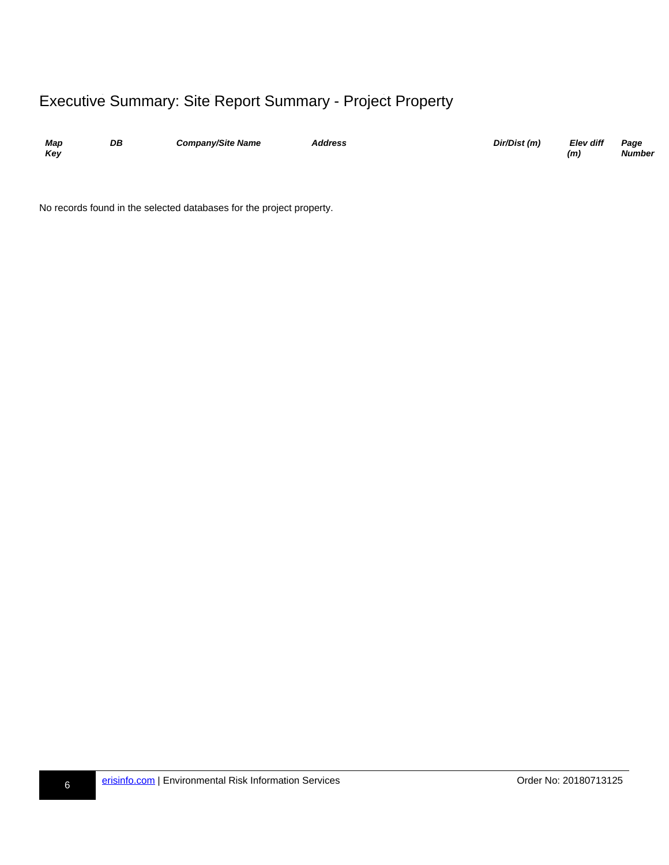### Executive Summary: Site Report Summary - Project Property

| Map<br>Kev | DB | <b>Company/Site Name</b> | Address | Dir/Dist (m) | Elev diff<br>(m) | Page<br><b>Number</b> |
|------------|----|--------------------------|---------|--------------|------------------|-----------------------|
|            |    |                          |         |              |                  |                       |

<span id="page-35-0"></span>No records found in the selected databases for the project property.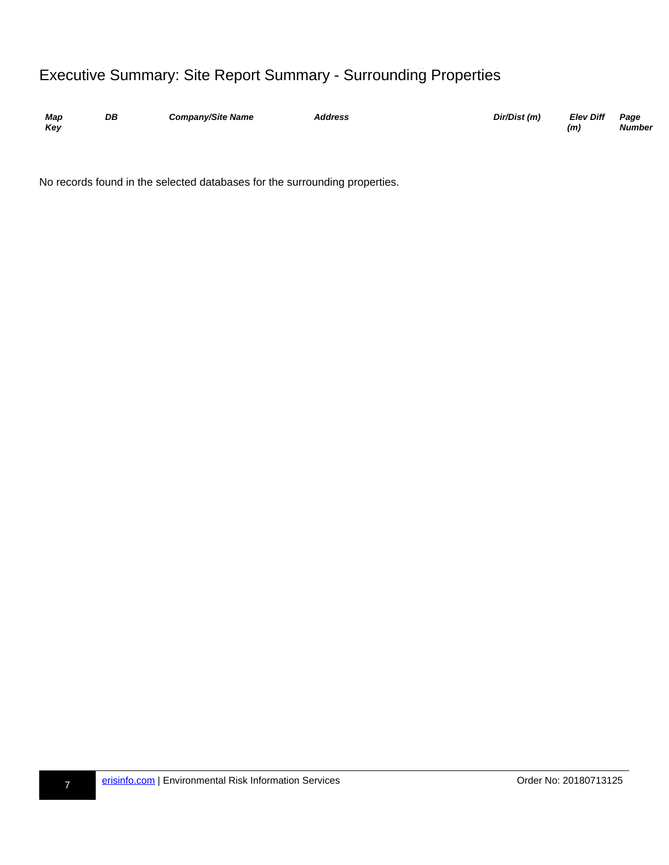## Executive Summary: Site Report Summary - Surrounding Properties

| Map | DB | <b>Company/Site Name</b> | <b>Address</b> | Dir/Dist (m) | <b>Elev Diff</b> | Page          |
|-----|----|--------------------------|----------------|--------------|------------------|---------------|
| Kev |    |                          |                |              | (m)              | <b>Number</b> |

<span id="page-36-0"></span>No records found in the selected databases for the surrounding properties.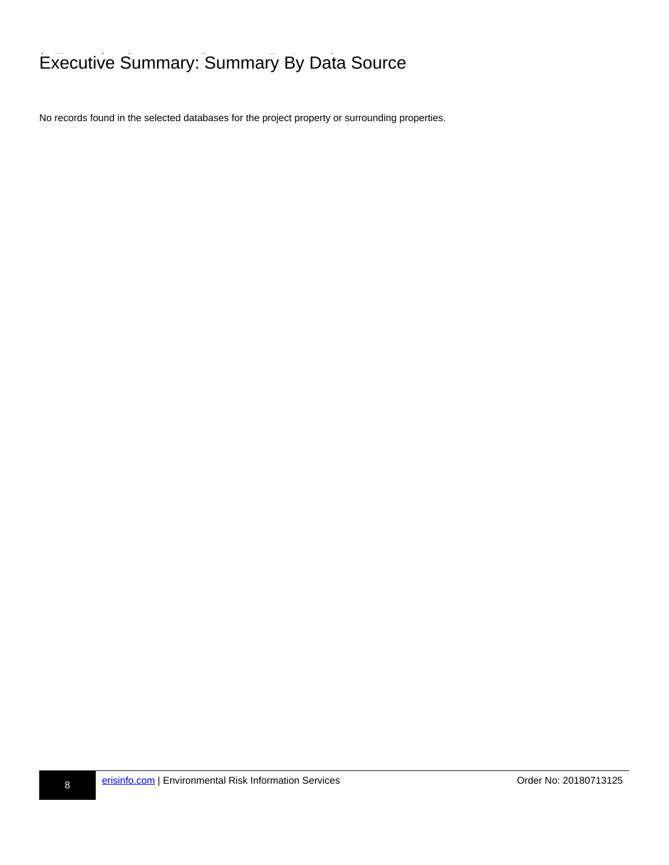## **Executive Summary: Summary By Data Source**

<span id="page-37-0"></span>No records found in the selected databases for the project property or surrounding properties.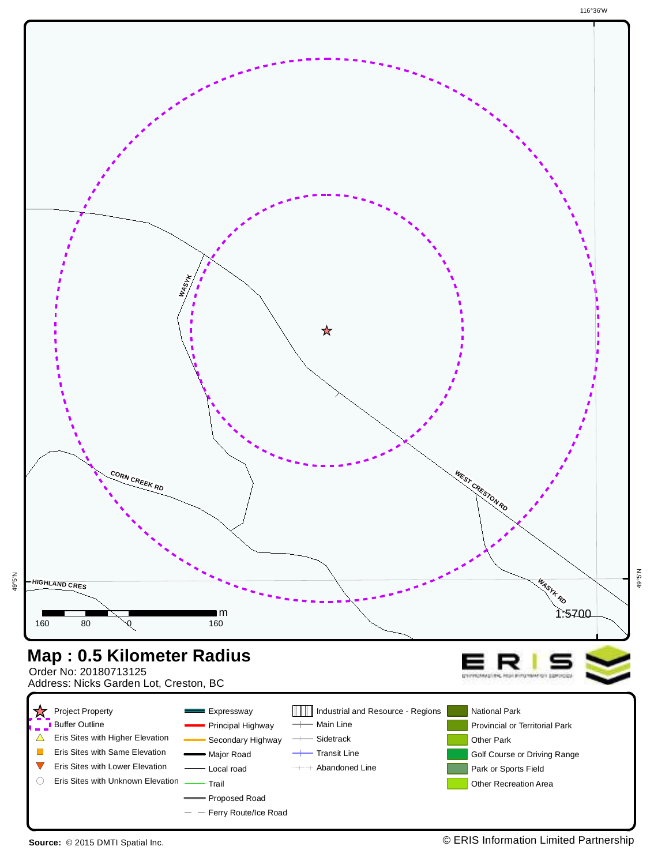

<span id="page-38-0"></span>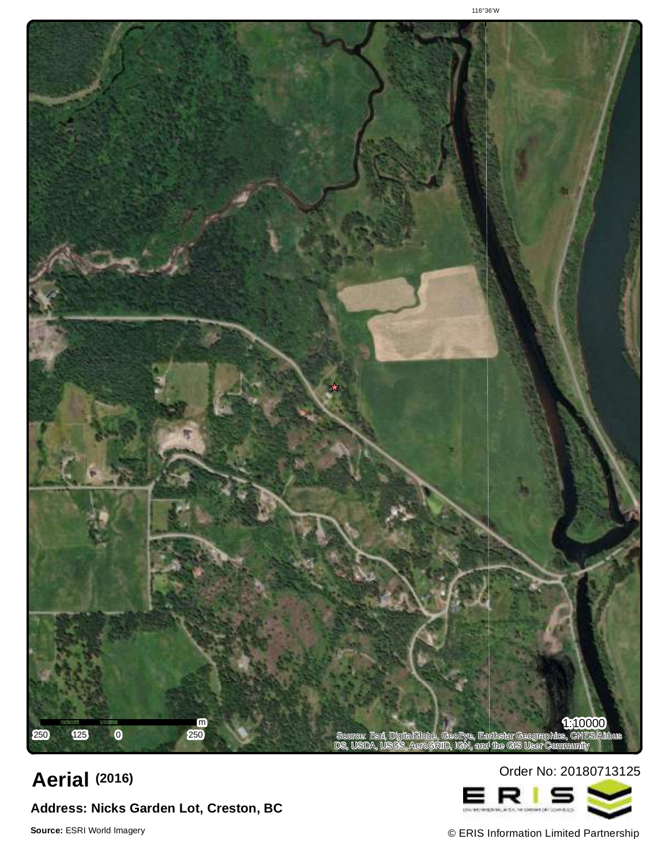

## Order No: <sup>20180713125</sup> **Aerial (2016)**

## **Address: Nicks Garden Lot, Creston, BC**

<span id="page-39-0"></span>



© ERIS Information Limited Partnership **Source:** ESRI World Imagery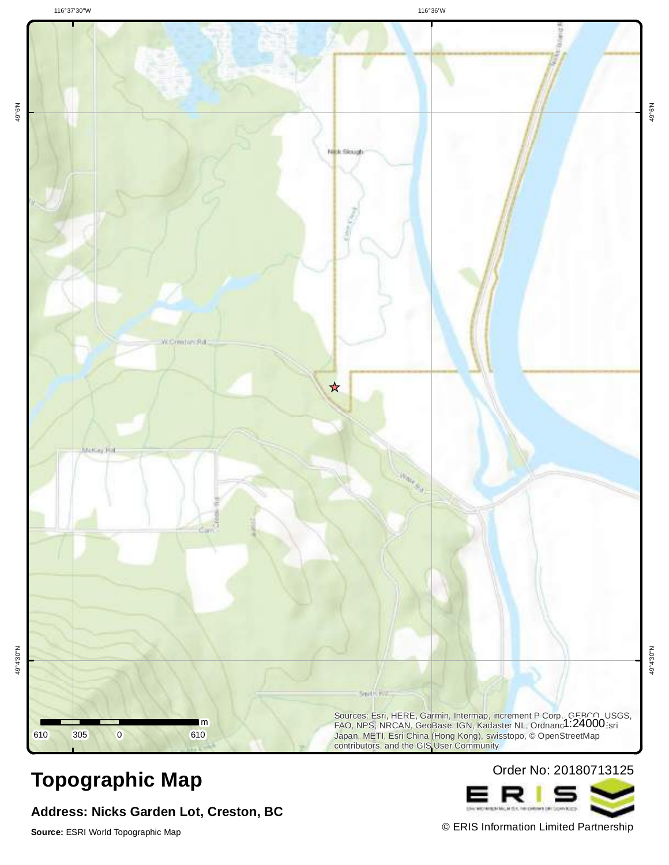116°37'30"W 116°36'W



**Address: Nicks Garden Lot, Creston, BC**



<span id="page-40-0"></span>© ERIS Information Limited Partnership **Source:** ESRI World Topographic Map

49°6'N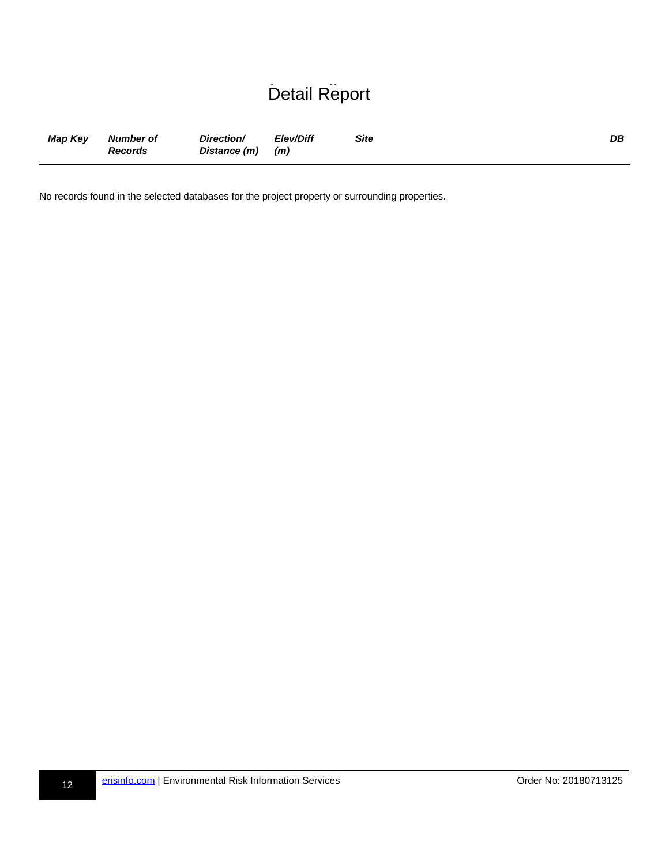## Detail Report

| Map Key | Number of<br><b>Records</b> | Direction/<br>Distance (m) (m) | Elev/Diff | Site | DB |
|---------|-----------------------------|--------------------------------|-----------|------|----|
|         |                             |                                |           |      |    |

<span id="page-41-0"></span>No records found in the selected databases for the project property or surrounding properties.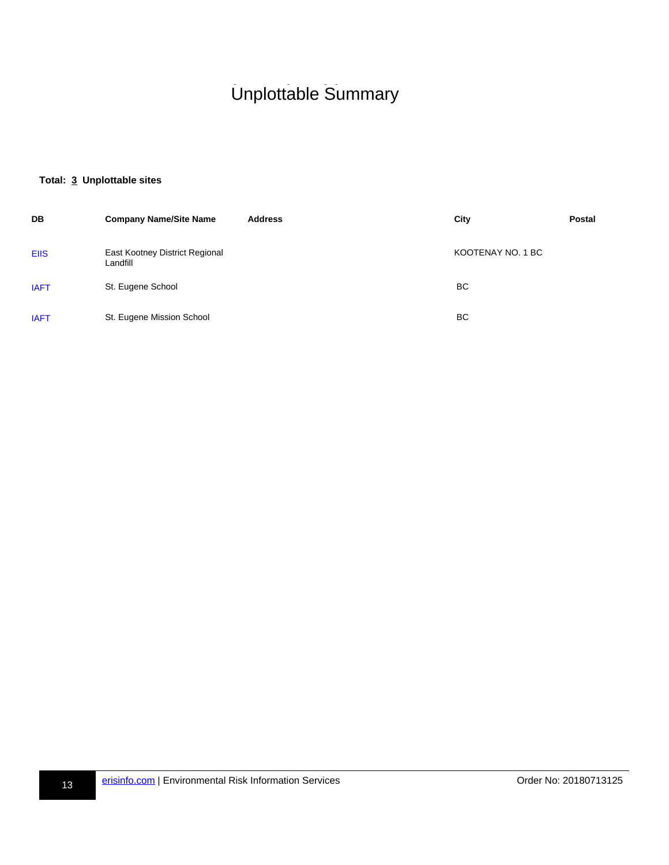## h-Unplottable Summary Unplottable Summary

#### **Total: 3 Unplottable sites**

<span id="page-42-3"></span><span id="page-42-2"></span><span id="page-42-1"></span><span id="page-42-0"></span>

| DB          | <b>Company Name/Site Name</b>              | <b>Address</b> | City              | <b>Postal</b> |
|-------------|--------------------------------------------|----------------|-------------------|---------------|
| <b>EIIS</b> | East Kootney District Regional<br>Landfill |                | KOOTENAY NO. 1 BC |               |
| <b>IAFT</b> | St. Eugene School                          |                | BC                |               |
| <b>IAFT</b> | St. Eugene Mission School                  |                | BC                |               |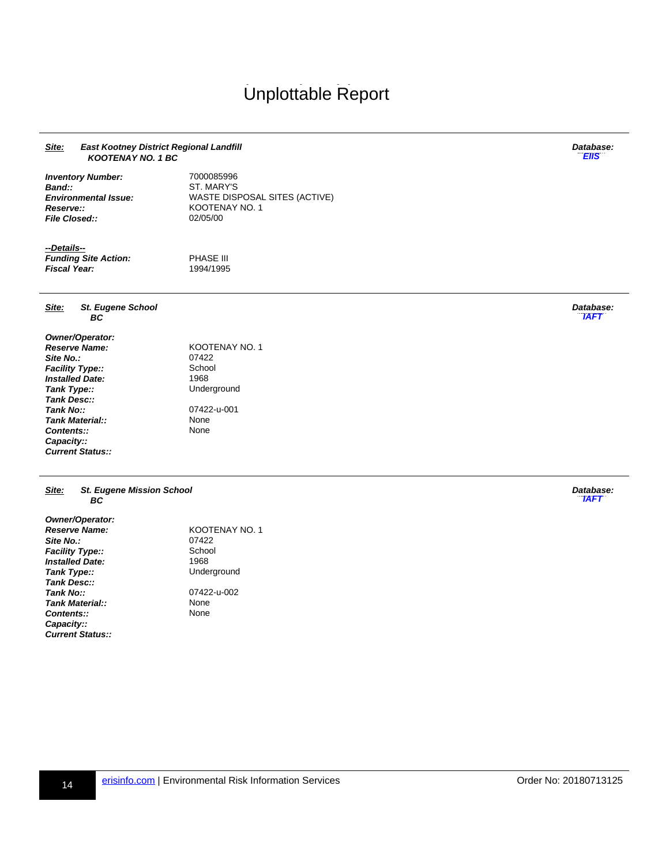## <span id="page-43-3"></span><span id="page-43-2"></span><span id="page-43-1"></span>Unplottable Report

#### **Site: East Kootney District Regional Landfill KOOTENAY NO. 1 BC Database: uu-EIIS-800014967-bb [EIIS](#page-42-1) Inventory Number:** 7000085996 **Band::** ST. MARY'S **Environmental Issue:** WASTE DISPOSAL SITES (ACTIVE) **Reserve::** KOOTENAY NO. 1 **File Closed::** 02/05/00 **--Details-- Funding Site Action:** PHASE III **Fiscal Year:** 1994/1995 **Site: St. Eugene School BC Database: uu-IAFT-800986579-bb [IAFT](#page-42-2) Owner/Operator: RESERVAY NO. 1**<br>07422 **Site No.:** 07422<br> **Facility Type::** School **Facility Type::** School **Installed Date:**<br>Tank Type:: **Underground Tank Desc:: Tank No::** 07422-u-001 **Tank Material::**<br> **Contents::** None **Contents:: Capacity:: Current Status:: Site: St. Eugene Mission School BC Database: UAFT Owner/Operator: Reserve Name:** KOOTENAY NO. 1<br>**Site No.:** 07422 **Site No.:** Facility Type:: School **Installed Date:** 1968<br> **Tank Type::** Unde **Underground Tank Desc::** 07422-u-002<br>None

<span id="page-43-0"></span>**Contents:: Capacity:: Current Status::**

**Tank Material::** None<br> **Contents::** None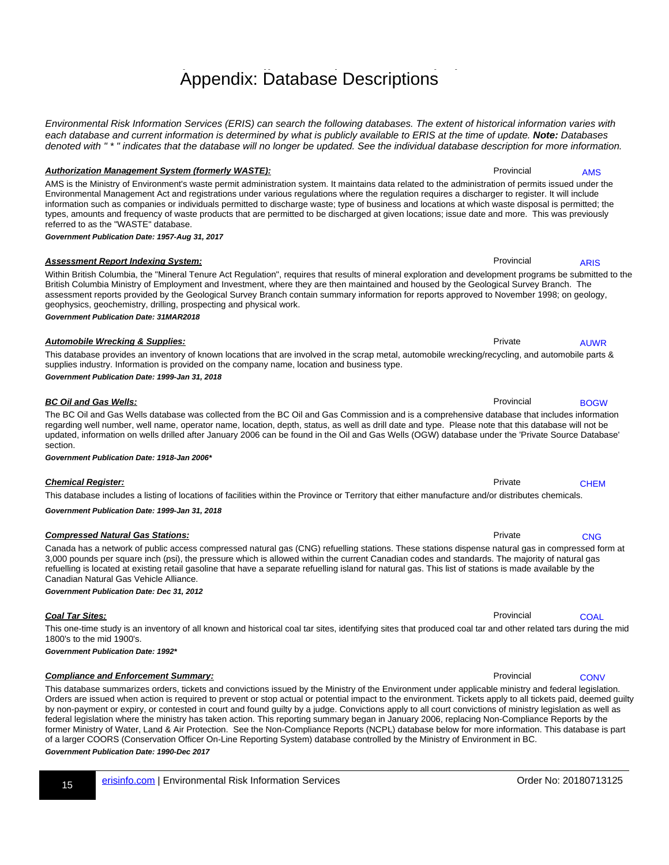h-Appendix: Database Descriptions Appendix: Database Descriptions

Environmental Risk Information Services (ERIS) can search the following databases. The extent of historical information varies with each database and current information is determined by what is publicly available to ERIS at the time of update. **Note:** Databases denoted with " \* " indicates that the database will no longer be updated. See the individual database description for more information.

#### **Authorization Management System (formerly WASTE): Provincial reading the System (formerly WASTE):** Provincial

AMS is the Ministry of Environment's waste permit administration system. It maintains data related to the administration of permits issued under the Environmental Management Act and registrations under various regulations where the regulation requires a discharger to register. It will include information such as companies or individuals permitted to discharge waste; type of business and locations at which waste disposal is permitted; the types, amounts and frequency of waste products that are permitted to be discharged at given locations; issue date and more. This was previously referred to as the "WASTE" database.

**Government Publication Date: 1957-Aug 31, 2017**

#### **Assessment Report Indexing System: Provincial results and results and results and results and results are architected and results and results are provincial results and results are provincial results and results are pro** Within British Columbia, the "Mineral Tenure Act Regulation", requires that results of mineral exploration and development programs be submitted to the

#### British Columbia Ministry of Employment and Investment, where they are then maintained and housed by the Geological Survey Branch. The assessment reports provided by the Geological Survey Branch contain summary information for reports approved to November 1998; on geology, geophysics, geochemistry, drilling, prospecting and physical work. **Government Publication Date: 31MAR2018**

This database provides an inventory of known locations that are involved in the scrap metal, automobile wrecking/recycling, and automobile parts & supplies industry. Information is provided on the company name, location and business type.

regarding well number, well name, operator name, location, depth, status, as well as drill date and type. Please note that this database will not be updated, information on wells drilled after January 2006 can be found in the Oil and Gas Wells (OGW) database under the 'Private Source Database'

**Automobile Wrecking & Supplies: Private Private Private Private Private Private** 

**Government Publication Date: 1999-Jan 31, 2018**

#### **BC Oil and Gas Wells:** Provincial results and the set of the set of the set of the set of the set of the set of the set of the set of the set of the set of the set of the set of the set of the set of the set of the set of

#### section. **Government Publication Date: 1918-Jan 2006\***

**Chemical Register:** Private **Register: Private Private Private Private Private Private Private Private** This database includes a listing of locations of facilities within the Province or Territory that either manufacture and/or distributes chemicals.

**Government Publication Date: 1999-Jan 31, 2018**

#### **Compressed Natural Gas Stations: Private rrange rrange rrange rrange rrange rrange rrange rrange rrange rrange rrange rrange rrange rrange rrange rrange rrange rrange rrange rrange rrange rrange rrange rrange rrange rra**

#### Canada has a network of public access compressed natural gas (CNG) refuelling stations. These stations dispense natural gas in compressed form at 3,000 pounds per square inch (psi), the pressure which is allowed within the current Canadian codes and standards. The majority of natural gas

Canadian Natural Gas Vehicle Alliance.

**Government Publication Date: Dec 31, 2012**

This one-time study is an inventory of all known and historical coal tar sites, identifying sites that produced coal tar and other related tars during the mid 1800's to the mid 1900's.

refuelling is located at existing retail gasoline that have a separate refuelling island for natural gas. This list of stations is made available by the

**Government Publication Date: 1992\***

#### **Compliance and Enforcement Summary: Compliance and Enforcement Summary: Provincial**

This database summarizes orders, tickets and convictions issued by the Ministry of the Environment under applicable ministry and federal legislation. Orders are issued when action is required to prevent or stop actual or potential impact to the environment. Tickets apply to all tickets paid, deemed guilty by non-payment or expiry, or contested in court and found guilty by a judge. Convictions apply to all court convictions of ministry legislation as well as federal legislation where the ministry has taken action. This reporting summary began in January 2006, replacing Non-Compliance Reports by the former Ministry of Water, Land & Air Protection. See the Non-Compliance Reports (NCPL) database below for more information. This database is part of a larger COORS (Conservation Officer On-Line Reporting System) database controlled by the Ministry of Environment in BC. **Government Publication Date: 1990-Dec 2017**

<span id="page-44-1"></span>[ARIS](#page-33-1)

<span id="page-44-0"></span>[AMS](#page-33-0)

<span id="page-44-3"></span><span id="page-44-2"></span>[AUWR](#page-33-2)

The BC Oil and Gas Wells database was collected from the BC Oil and Gas Commission and is a comprehensive database that includes information [BOGW](#page-33-3)

<span id="page-44-4"></span>[CHEM](#page-33-4)

<span id="page-44-5"></span>**[CNG](#page-33-5)** 

<span id="page-44-6"></span>**[COAL](#page-33-6)** 

<span id="page-44-7"></span>**[CONV](#page-33-7)** 

**Coal Tar Sites:** COAL-bbb 2014 **COAL-bbb 2014** COAL-bbb 2014 **COAL-bbb 2014** COAL-bbb 2014 2014 2014 2014 2014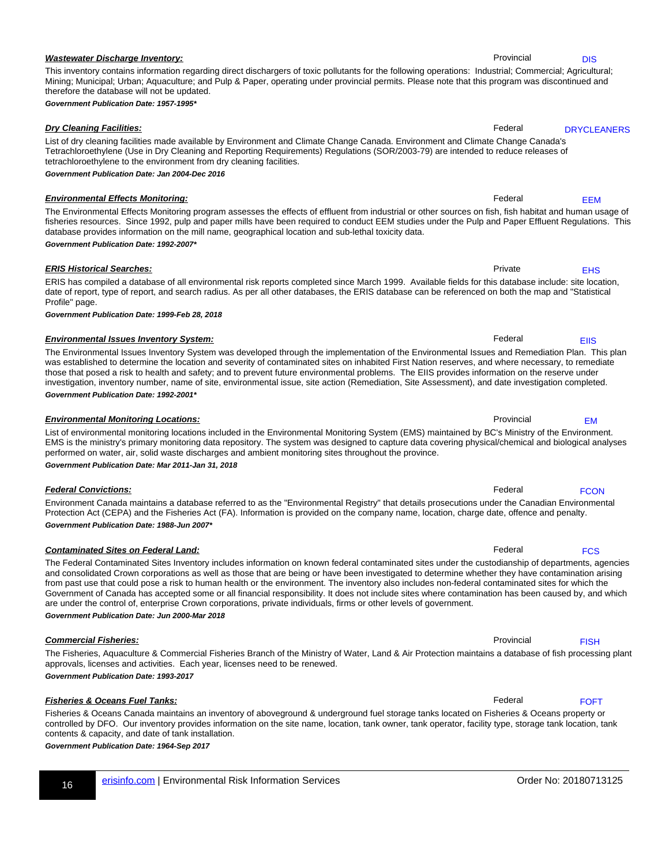#### **Wastewater Discharge Inventory: Provincial results and Security Provincial rrandom in the Provincial results and Provincial results and Provincial results and Provincial results and Provincial results and Provincial res**

#### **Government Publication Date: 1957-1995\***

therefore the database will not be updated.

#### **Dry Cleaning Facilities:** Federal Research Research **Cleaning Facilities:** Federal Research **Federal** Research **Federal**

#### tetrachloroethylene to the environment from dry cleaning facilities. **Government Publication Date: Jan 2004-Dec 2016**

**Environmental Effects Monitoring:** The Control of Control of Control of Control of Control of Control of Control of Control of Control of Control of Control of Control of Control of Control of Control of Control of Contro The Environmental Effects Monitoring program assesses the effects of effluent from industrial or other sources on fish, fish habitat and human usage of fisheries resources. Since 1992, pulp and paper mills have been required to conduct EEM studies under the Pulp and Paper Effluent Regulations. This database provides information on the mill name, geographical location and sub-lethal toxicity data. [EEM](#page-33-10)

This inventory contains information regarding direct dischargers of toxic pollutants for the following operations: Industrial; Commercial; Agricultural; Mining; Municipal; Urban; Aquaculture; and Pulp & Paper, operating under provincial permits. Please note that this program was discontinued and

List of dry cleaning facilities made available by Environment and Climate Change Canada. Environment and Climate Change Canada's Tetrachloroethylene (Use in Dry Cleaning and Reporting Requirements) Regulations (SOR/2003-79) are intended to reduce releases of

**Government Publication Date: 1992-2007\***

#### ERIS has compiled a database of all environmental risk reports completed since March 1999. Available fields for this database include: site location, date of report, type of report, and search radius. As per all other databases, the ERIS database can be referenced on both the map and "Statistical Profile" page.

The Environmental Issues Inventory System was developed through the implementation of the Environmental Issues and Remediation Plan. This plan

**Government Publication Date: 1999-Feb 28, 2018**

#### **Environmental Issues Inventory System:** The Communication of the Communication of Tederal Report of Tederal resolutions of the Communication of Tederal Report of Tederal resolutions of the Communication of Tederal Report

#### was established to determine the location and severity of contaminated sites on inhabited First Nation reserves, and where necessary, to remediate those that posed a risk to health and safety; and to prevent future environmental problems. The EIIS provides information on the reserve under investigation, inventory number, name of site, environmental issue, site action (Remediation, Site Assessment), and date investigation completed. **Government Publication Date: 1992-2001\***

**ERIS Historical Searches:** Private **Private rrange rrange rrange rrange rrange rrange rrange rrange rrange rrange rrange rrange rrange rrange rrange rrange rrange rrange rrange rrange rrange rrange rrange rrange rrange rr** 

**Environmental Monitoring Locations: Provincial rrandom and the environmental Monitoring Locations:** List of environmental monitoring locations included in the Environmental Monitoring System (EMS) maintained by BC's Ministry of the Environment. EMS is the ministry's primary monitoring data repository. The system was designed to capture data covering physical/chemical and biological analyses

performed on water, air, solid waste discharges and ambient monitoring sites throughout the province.

**Government Publication Date: Mar 2011-Jan 31, 2018**

Environment Canada maintains a database referred to as the "Environmental Registry" that details prosecutions under the Canadian Environmental Protection Act (CEPA) and the Fisheries Act (FA). Information is provided on the company name, location, charge date, offence and penalty. **Government Publication Date: 1988-Jun 2007\***

#### The Federal Contaminated Sites Inventory includes information on known federal contaminated sites under the custodianship of departments, agencies and consolidated Crown corporations as well as those that are being or have been investigated to determine whether they have contamination arising from past use that could pose a risk to human health or the environment. The inventory also includes non-federal contaminated sites for which the Government of Canada has accepted some or all financial responsibility. It does not include sites where contamination has been caused by, and which are under the control of, enterprise Crown corporations, private individuals, firms or other levels of government.

**Government Publication Date: Jun 2000-Mar 2018**

**Commercial Fisheries:** Provincial **Commercial Fisheries:** Provincial **Research Commercial Fisheries:** Provincial **Research Commercial Fisheries:** Provincial **Provincial** Provincial **Provincial** Provincial **Provincial** Pro The Fisheries, Aquaculture & Commercial Fisheries Branch of the Ministry of Water, Land & Air Protection maintains a database of fish processing plant approvals, licenses and activities. Each year, licenses need to be renewed.

**Government Publication Date: 1993-2017**

#### **Fisheries & Oceans Fuel Tanks:** Federal Research Research and Research and Research and Research and Research and Research and Research and Research and Research and Research and Research and Research and Research and Res

Fisheries & Oceans Canada maintains an inventory of aboveground & underground fuel storage tanks located on Fisheries & Oceans property or controlled by DFO. Our inventory provides information on the site name, location, tank owner, tank operator, facility type, storage tank location, tank contents & capacity, and date of tank installation.

**Government Publication Date: 1964-Sep 2017**

<span id="page-45-1"></span><span id="page-45-0"></span>[DIS](#page-33-8)

#### [DRYCLEANERS](#page-33-9)

<span id="page-45-2"></span>

<span id="page-45-4"></span>**[EIIS](#page-33-12)** 

<span id="page-45-3"></span>[EHS](#page-33-11)

**Federal Convictions:** Federal **Federal Convictions:** Federal **Research Research Research Research Research Research Research Research Research Research Research Research Research Research Research Research Research Resear** 

**Contaminated Sites on Federal Land: Federal Research Research Research Research Research Research Research Research Research Research Research Research Research Research Research Research Research Research Research Rese** 

<span id="page-45-7"></span>**[FCS](#page-33-15)** 

<span id="page-45-8"></span>[FISH](#page-33-16)

<span id="page-45-9"></span>[FOFT](#page-33-17)

<span id="page-45-6"></span>**[FCON](#page-33-14)** 

<span id="page-45-5"></span>[EM](#page-33-13)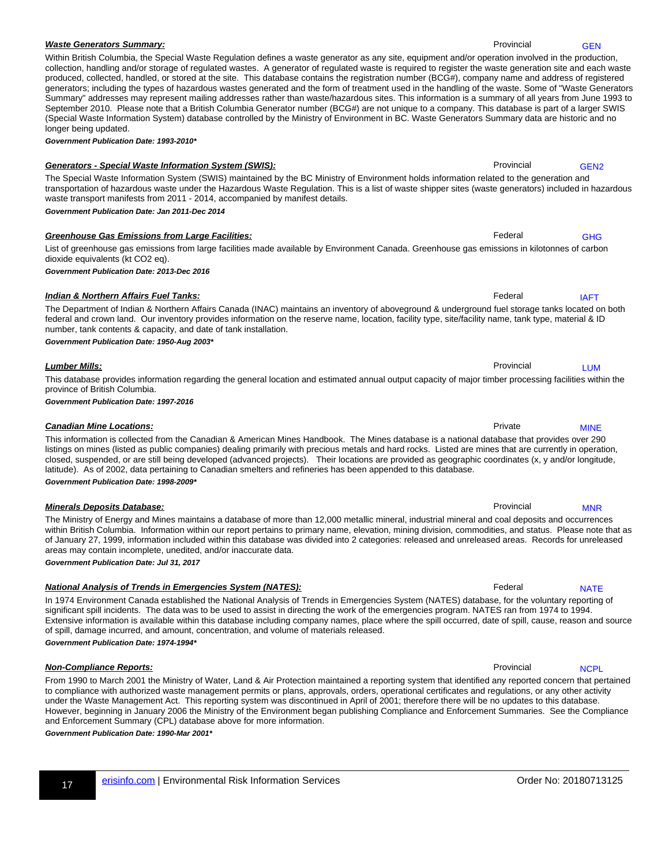17 [erisinfo.com](http://www.erisinfo.com) | Environmental Risk Information Services Communication Services Communication Services Communication Services Communication Services Communication Services Communication Services Communication Services Com

#### **Waste Generators Summary:** Provincial results of the extension of the extension of the extension of the extension of the extension of the extension of the extension of the extension of the extension of the extension of th

#### Within British Columbia, the Special Waste Regulation defines a waste generator as any site, equipment and/or operation involved in the production, collection, handling and/or storage of regulated wastes. A generator of regulated waste is required to register the waste generation site and each waste produced, collected, handled, or stored at the site. This database contains the registration number (BCG#), company name and address of registered generators; including the types of hazardous wastes generated and the form of treatment used in the handling of the waste. Some of "Waste Generators Summary" addresses may represent mailing addresses rather than waste/hazardous sites. This information is a summary of all years from June 1993 to September 2010. Please note that a British Columbia Generator number (BCG#) are not unique to a company. This database is part of a larger SWIS (Special Waste Information System) database controlled by the Ministry of Environment in BC. Waste Generators Summary data are historic and no longer being updated.

transportation of hazardous waste under the Hazardous Waste Regulation. This is a list of waste shipper sites (waste generators) included in hazardous

The Special Waste Information System (SWIS) maintained by the BC Ministry of Environment holds information related to the generation and

**Government Publication Date: 1993-2010\***

#### **Generators - Special Waste Information System (SWIS): Provincial results and results and results and results and results and results and results and results are provincial results and results are provincial results and**

#### waste transport manifests from 2011 - 2014, accompanied by manifest details. **Government Publication Date: Jan 2011-Dec 2014**

#### **Greenhouse Gas Emissions from Large Facilities:** Federal Research Research Research Research Research Research Research Research Research Research Research Research Research Research Research Research Research Research Re List of greenhouse gas emissions from large facilities made available by Environment Canada. Greenhouse gas emissions in kilotonnes of carbon

dioxide equivalents (kt CO2 eq).

**Government Publication Date: 2013-Dec 2016**

#### **Indian & Northern Affairs Fuel Tanks:** Federal Research Research **Federal Research Research Research Research Research Research Research Research Research Research Research Research Research Research Research Research Res**

number, tank contents & capacity, and date of tank installation. **Government Publication Date: 1950-Aug 2003\***

#### This database provides information regarding the general location and estimated annual output capacity of major timber processing facilities within the province of British Columbia.

**Lumber Mills:** Provincial Research of the control of the control of the control of the control of the control of the control of the control of the control of the control of the control of the control of the control of the

The Department of Indian & Northern Affairs Canada (INAC) maintains an inventory of aboveground & underground fuel storage tanks located on both federal and crown land. Our inventory provides information on the reserve name, location, facility type, site/facility name, tank type, material & ID

**Government Publication Date: 1997-2016**

This information is collected from the Canadian & American Mines Handbook. The Mines database is a national database that provides over 290 listings on mines (listed as public companies) dealing primarily with precious metals and hard rocks. Listed are mines that are currently in operation, closed, suspended, or are still being developed (advanced projects). Their locations are provided as geographic coordinates (x, y and/or longitude, latitude). As of 2002, data pertaining to Canadian smelters and refineries has been appended to this database. **Government Publication Date: 1998-2009\***

The Ministry of Energy and Mines maintains a database of more than 12,000 metallic mineral, industrial mineral and coal deposits and occurrences within British Columbia. Information within our report pertains to primary name, elevation, mining division, commodities, and status. Please note that as of January 27, 1999, information included within this database was divided into 2 categories: released and unreleased areas. Records for unreleased areas may contain incomplete, unedited, and/or inaccurate data.

**Government Publication Date: Jul 31, 2017**

#### **National Analysis of Trends in Emergencies System (NATES): Federal research renders** Federal research renderal research renderships and rederal research renderships rederal renderships rederal renderships rederal render

In 1974 Environment Canada established the National Analysis of Trends in Emergencies System (NATES) database, for the voluntary reporting of significant spill incidents. The data was to be used to assist in directing the work of the emergencies program. NATES ran from 1974 to 1994. Extensive information is available within this database including company names, place where the spill occurred, date of spill, cause, reason and source of spill, damage incurred, and amount, concentration, and volume of materials released. **Government Publication Date: 1974-1994\***

From 1990 to March 2001 the Ministry of Water, Land & Air Protection maintained a reporting system that identified any reported concern that pertained to compliance with authorized waste management permits or plans, approvals, orders, operational certificates and regulations, or any other activity under the Waste Management Act. This reporting system was discontinued in April of 2001; therefore there will be no updates to this database. However, beginning in January 2006 the Ministry of the Environment began publishing Compliance and Enforcement Summaries. See the Compliance and Enforcement Summary (CPL) database above for more information.

**Government Publication Date: 1990-Mar 2001\***

**Minerals Deposits Database: Provincial rrange of the Contract of the Contract of the Contract of the Provincial rreducts of the Contract of the Contract of the Contract of the Contract of the Contract of the Contract of** 

**Non-Compliance Reports: Provincial reports:** Provincial reports: **Provincial reports:** Provincial reports: **Provincial reports:** Provincial reports: **Provincial reports:** Provincial reports: **Provincial reports:** Provin

**Canadian Mine Locations: Private Private Private Private Private Private** 

<span id="page-46-1"></span>[GEN2](#page-33-19)

<span id="page-46-2"></span>[GHG](#page-33-20)

<span id="page-46-0"></span>[GEN](#page-33-18)

<span id="page-46-3"></span>[IAFT](#page-33-21)

<span id="page-46-4"></span>[LUM](#page-33-22)

<span id="page-46-5"></span>[MINE](#page-33-23)

<span id="page-46-6"></span>[MNR](#page-33-24)

<span id="page-46-7"></span>**[NATE](#page-33-25)** 

<span id="page-46-8"></span>**[NCPL](#page-33-26)**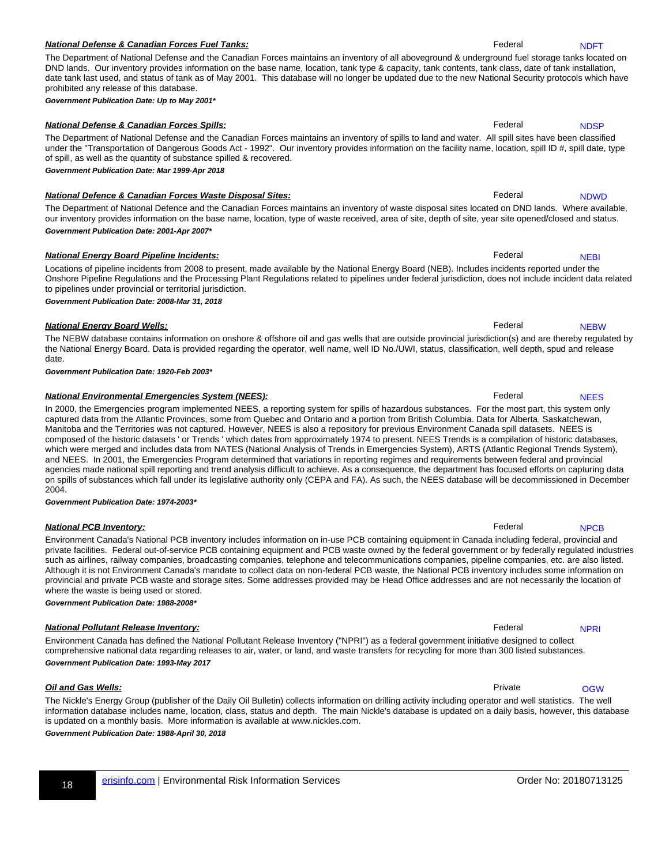### 18 [erisinfo.com](http://www.erisinfo.com) | Environmental Risk Information Services **Conservation Services** Critics Conservation Services

#### **National Defense & Canadian Forces Fuel Tanks:**  $\blacksquare$  **Federal rational resolution of the Canadian Forces Fuel Tanks:**  $\blacksquare$

#### prohibited any release of this database. **Government Publication Date: Up to May 2001\***

#### **National Defense & Canadian Forces Spills: Federal Research Research Research Research Research Research Research Research Research Research Research Research Research Research Research Research Research Research Resear** The Department of National Defense and the Canadian Forces maintains an inventory of spills to land and water. All spill sites have been classified

#### **National Defence & Canadian Forces Waste Disposal Sites:** National Research Rederal rederal rederal rederal rederal rederal rederal rederal rederal rederal rederal rederal rederal rederal rederal rederal rederal rederal r

of spill, as well as the quantity of substance spilled & recovered.

our inventory provides information on the base name, location, type of waste received, area of site, depth of site, year site opened/closed and status. **Government Publication Date: 2001-Apr 2007\***

Locations of pipeline incidents from 2008 to present, made available by the National Energy Board (NEB). Includes incidents reported under the Onshore Pipeline Regulations and the Processing Plant Regulations related to pipelines under federal jurisdiction, does not include incident data related

**National Energy Board Wells: Federal rrange of the Second Properties of the Second Properties of the Second Properties of the Second Properties of the Second Properties of the Second Properties of the Second Properties** 

The Department of National Defense and the Canadian Forces maintains an inventory of all aboveground & underground fuel storage tanks located on DND lands. Our inventory provides information on the base name, location, tank type & capacity, tank contents, tank class, date of tank installation, date tank last used, and status of tank as of May 2001. This database will no longer be updated due to the new National Security protocols which have

under the "Transportation of Dangerous Goods Act - 1992". Our inventory provides information on the facility name, location, spill ID #, spill date, type

The Department of National Defence and the Canadian Forces maintains an inventory of waste disposal sites located on DND lands. Where available,

#### **National Energy Board Pipeline Incidents:** The Communication of the Communication of Tederal resolutions of the Communication of the Communication of Tederal resolutions of the Communication of the Communication of the Co

**Government Publication Date: Mar 1999-Apr 2018**

#### to pipelines under provincial or territorial jurisdiction. **Government Publication Date: 2008-Mar 31, 2018**

The NEBW database contains information on onshore & offshore oil and gas wells that are outside provincial jurisdiction(s) and are thereby regulated by the National Energy Board. Data is provided regarding the operator, well name, well ID No./UWI, status, classification, well depth, spud and release date.

**Government Publication Date: 1920-Feb 2003\***

#### **National Environmental Emergencies System (NEES): Federal Report of American Report Federal report of America**

In 2000, the Emergencies program implemented NEES, a reporting system for spills of hazardous substances. For the most part, this system only captured data from the Atlantic Provinces, some from Quebec and Ontario and a portion from British Columbia. Data for Alberta, Saskatchewan, Manitoba and the Territories was not captured. However, NEES is also a repository for previous Environment Canada spill datasets. NEES is composed of the historic datasets ' or Trends ' which dates from approximately 1974 to present. NEES Trends is a compilation of historic databases, which were merged and includes data from NATES (National Analysis of Trends in Emergencies System), ARTS (Atlantic Regional Trends System), and NEES. In 2001, the Emergencies Program determined that variations in reporting regimes and requirements between federal and provincial agencies made national spill reporting and trend analysis difficult to achieve. As a consequence, the department has focused efforts on capturing data on spills of substances which fall under its legislative authority only (CEPA and FA). As such, the NEES database will be decommissioned in December 2004.

**Government Publication Date: 1974-2003\***

#### Environment Canada's National PCB inventory includes information on in-use PCB containing equipment in Canada including federal, provincial and private facilities. Federal out-of-service PCB containing equipment and PCB waste owned by the federal government or by federally regulated industries such as airlines, railway companies, broadcasting companies, telephone and telecommunications companies, pipeline companies, etc. are also listed. Although it is not Environment Canada's mandate to collect data on non-federal PCB waste, the National PCB inventory includes some information on provincial and private PCB waste and storage sites. Some addresses provided may be Head Office addresses and are not necessarily the location of where the waste is being used or stored. [NPCB](#page-33-33)

**Government Publication Date: 1988-2008\***

#### **National Pollutant Release Inventory:** The control of the control of the control of the control of the control of the control of the control of the control of the control of the control of the control of the control of th Environment Canada has defined the National Pollutant Release Inventory ("NPRI") as a federal government initiative designed to collect

### comprehensive national data regarding releases to air, water, or land, and waste transfers for recycling for more than 300 listed substances. **Government Publication Date: 1993-May 2017**

The Nickle's Energy Group (publisher of the Daily Oil Bulletin) collects information on drilling activity including operator and well statistics. The well information database includes name, location, class, status and depth. The main Nickle's database is updated on a daily basis, however, this database is updated on a monthly basis. More information is available at www.nickles.com.

**Government Publication Date: 1988-April 30, 2018**

<span id="page-47-0"></span>**[NDFT](#page-33-27)** 

<span id="page-47-1"></span>**[NDSP](#page-33-28)** 

<span id="page-47-2"></span>[NDWD](#page-33-29)

<span id="page-47-3"></span>**[NEBI](#page-33-30)** 

<span id="page-47-5"></span>**[NEES](#page-33-32)** 

<span id="page-47-4"></span>**[NEBW](#page-33-31)** 

**National PCB Inventory:** The contract of the contract of the contract of the contract of the contract of the contract of the contract of the contract of the contract of the contract of the contract of the contract of the

**Oil and Gas Wells:** Private **results:** Private **results: Private Private Private Private Private Private** 

<span id="page-47-8"></span>**[OGW](#page-34-2)** 

<span id="page-47-7"></span><span id="page-47-6"></span>[NPRI](#page-34-1)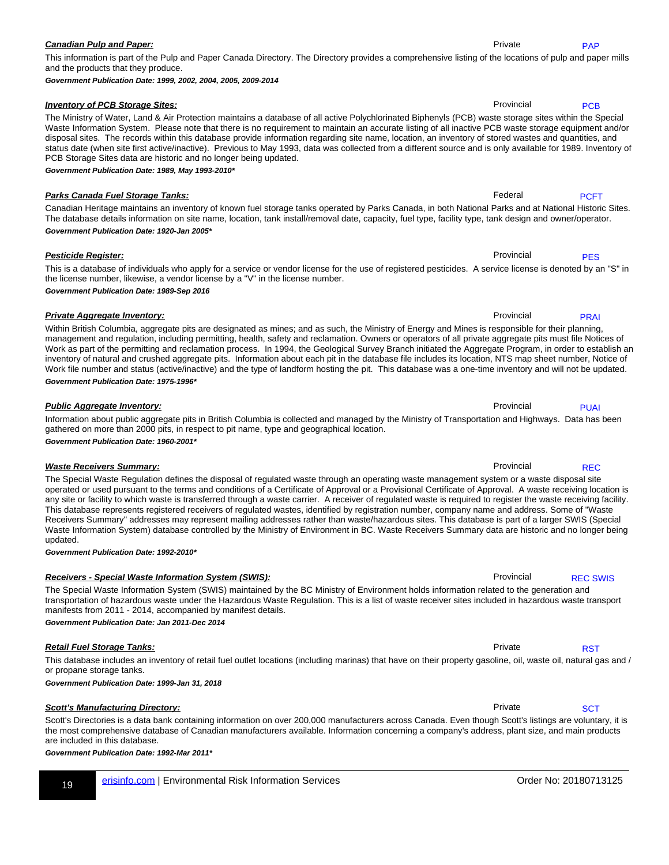This information is part of the Pulp and Paper Canada Directory. The Directory provides a comprehensive listing of the locations of pulp and paper mills and the products that they produce.

Waste Information System. Please note that there is no requirement to maintain an accurate listing of all inactive PCB waste storage equipment and/or disposal sites. The records within this database provide information regarding site name, location, an inventory of stored wastes and quantities, and status date (when site first active/inactive). Previous to May 1993, data was collected from a different source and is only available for 1989. Inventory of

**Government Publication Date: 1999, 2002, 2004, 2005, 2009-2014**

#### **Inventory of PCB Storage Sites: Provincial results and Structure Provincial rrange of PCB Storage Sites:** Provincial results and provincial results and provincial results are provincial results and provincial results an

#### The Ministry of Water, Land & Air Protection maintains a database of all active Polychlorinated Biphenyls (PCB) waste storage sites within the Special

#### PCB Storage Sites data are historic and no longer being updated. **Government Publication Date: 1989, May 1993-2010\***

Canadian Heritage maintains an inventory of known fuel storage tanks operated by Parks Canada, in both National Parks and at National Historic Sites. The database details information on site name, location, tank install/removal date, capacity, fuel type, facility type, tank design and owner/operator. **Government Publication Date: 1920-Jan 2005\***

This is a database of individuals who apply for a service or vendor license for the use of registered pesticides. A service license is denoted by an "S" in the license number, likewise, a vendor license by a "V" in the license number. **Government Publication Date: 1989-Sep 2016**

**Private Aggregate Inventory: Provincial rrange in the Contract of Provincial rrange in the Provincial rrange in the Provincial rrange in the Provincial rrange in the Provincial rrange in the Provincial rrange in the Pro** Within British Columbia, aggregate pits are designated as mines; and as such, the Ministry of Energy and Mines is responsible for their planning, management and regulation, including permitting, health, safety and reclamation. Owners or operators of all private aggregate pits must file Notices of Work as part of the permitting and reclamation process. In 1994, the Geological Survey Branch initiated the Aggregate Program, in order to establish an inventory of natural and crushed aggregate pits. Information about each pit in the database file includes its location, NTS map sheet number, Notice of Work file number and status (active/inactive) and the type of landform hosting the pit. This database was a one-time inventory and will not be updated. **Government Publication Date: 1975-1996\***

Information about public aggregate pits in British Columbia is collected and managed by the Ministry of Transportation and Highways. Data has been gathered on more than 2000 pits, in respect to pit name, type and geographical location. [PUAI](#page-34-8)

The Special Waste Regulation defines the disposal of regulated waste through an operating waste management system or a waste disposal site operated or used pursuant to the terms and conditions of a Certificate of Approval or a Provisional Certificate of Approval. A waste receiving location is any site or facility to which waste is transferred through a waste carrier. A receiver of regulated waste is required to register the waste receiving facility. This database represents registered receivers of regulated wastes, identified by registration number, company name and address. Some of "Waste Receivers Summary" addresses may represent mailing addresses rather than waste/hazardous sites. This database is part of a larger SWIS (Special Waste Information System) database controlled by the Ministry of Environment in BC. Waste Receivers Summary data are historic and no longer being updated.

**Government Publication Date: 1992-2010\***

**Government Publication Date: 1960-2001\***

#### **Receivers - Special Waste Information System (SWIS): Provincial Receivers - Special Provincial Record System (SWIS):**

transportation of hazardous waste under the Hazardous Waste Regulation. This is a list of waste receiver sites included in hazardous waste transport manifests from 2011 - 2014, accompanied by manifest details. **Government Publication Date: Jan 2011-Dec 2014**

**Retail Fuel Storage Tanks: Private rrange rrange rrange rrange rrange rrange rrange rrange rrange rrange rrange rrange rrange rrange rrange rrange rrange rrange rrange rrange rrange rrange rrange rrange rrange rrange rr** This database includes an inventory of retail fuel outlet locations (including marinas) that have on their property gasoline, oil, waste oil, natural gas and / or propane storage tanks. **[RST](#page-34-11)** 

**Government Publication Date: 1999-Jan 31, 2018**

#### **Scott's Manufacturing Directory:** Private research of the state research of the state research of the state research of the state research of the state research of the state research of the state research of the state res

Scott's Directories is a data bank containing information on over 200,000 manufacturers across Canada. Even though Scott's listings are voluntary, it is the most comprehensive database of Canadian manufacturers available. Information concerning a company's address, plant size, and main products are included in this database.

The Special Waste Information System (SWIS) maintained by the BC Ministry of Environment holds information related to the generation and

**Government Publication Date: 1992-Mar 2011\***

**Parks Canada Fuel Storage Tanks: Federal rrange of the Storage Tanks: Federal** research and **repCFT-bb**  $\overline{P}$ 

**Pesticide Register:** Provincial register: **Pesticide Register:** Provincial register: **Provincial rrange of the Provincial rrange of the Provincial rrange of the Provincial register: <b>Provincial register:** Provincial regis [PES](#page-34-6)

<span id="page-48-0"></span>[PAP](#page-34-3)

<span id="page-48-1"></span>**[PCB](#page-34-4)** 

<span id="page-48-3"></span><span id="page-48-2"></span>[PCFT](#page-34-5)

<span id="page-48-6"></span><span id="page-48-5"></span>[REC](#page-34-9)

<span id="page-48-8"></span><span id="page-48-7"></span>[REC SWIS](#page-34-10)

<span id="page-48-4"></span>[PRAI](#page-34-7)

**Public Aggregate Inventory: Public Aggregate Inventory: Provincial results** 

**Waste Receivers Summary: Provincial Receivers Summary: Provincial rrange in the contract of the C-bbs and REC-bbs and REC-bbs and REC-bbs and REC-bbs and REC-bbs and REC-bbs and REC-bbs and REC-bbs and REC-bbs and REC** 

<span id="page-48-9"></span>**[SCT](#page-34-12)**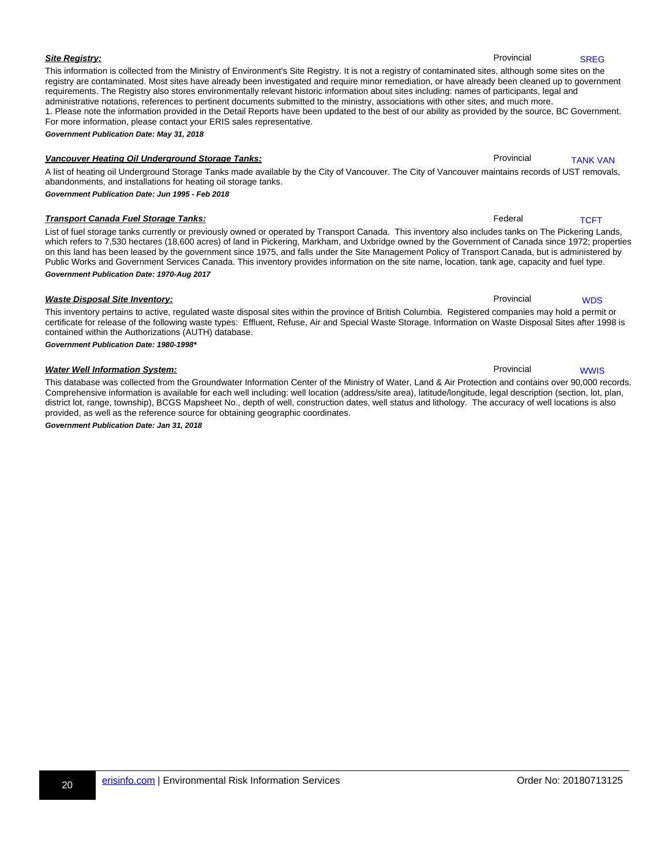This information is collected from the Ministry of Environment's Site Registry. It is not a registry of contaminated sites, although some sites on the registry are contaminated. Most sites have already been investigated and require minor remediation, or have already been cleaned up to government requirements. The Registry also stores environmentally relevant historic information about sites including: names of participants, legal and administrative notations, references to pertinent documents submitted to the ministry, associations with other sites, and much more. 1. Please note the information provided in the Detail Reports have been updated to the best of our ability as provided by the source, BC Government. For more information, please contact your ERIS sales representative. **Government Publication Date: May 31, 2018**

**Vancouver Heating Oil Underground Storage Tanks:** Provincial Research Research Provincial Research Provincial Research Provincial Research Provincial Research Provincial Research Provincial Research Provincial Research Pr A list of heating oil Underground Storage Tanks made available by the City of Vancouver. The City of Vancouver maintains records of UST removals, abandonments, and installations for heating oil storage tanks. [TANK VAN](#page-34-14)

**Government Publication Date: Jun 1995 - Feb 2018**

#### **Transport Canada Fuel Storage Tanks:** Federal Research 1999 and 1999 and 1999 and 1999 and 1999 and 1999 and 199

List of fuel storage tanks currently or previously owned or operated by Transport Canada. This inventory also includes tanks on The Pickering Lands, which refers to 7,530 hectares (18,600 acres) of land in Pickering, Markham, and Uxbridge owned by the Government of Canada since 1972; properties on this land has been leased by the government since 1975, and falls under the Site Management Policy of Transport Canada, but is administered by Public Works and Government Services Canada. This inventory provides information on the site name, location, tank age, capacity and fuel type. **Government Publication Date: 1970-Aug 2017**

This inventory pertains to active, regulated waste disposal sites within the province of British Columbia. Registered companies may hold a permit or certificate for release of the following waste types: Effluent, Refuse, Air and Special Waste Storage. Information on Waste Disposal Sites after 1998 is contained within the Authorizations (AUTH) database.

**Government Publication Date: 1980-1998\***

#### **Water Well Information System: Provincial results and the US** control of the US control of the Provincial results and the Provincial results and the Provincial results are provincial results and the US control of the US

This database was collected from the Groundwater Information Center of the Ministry of Water, Land & Air Protection and contains over 90,000 records. Comprehensive information is available for each well including: well location (address/site area), latitude/longitude, legal description (section, lot, plan, district lot, range, township), BCGS Mapsheet No., depth of well, construction dates, well status and lithology. The accuracy of well locations is also provided, as well as the reference source for obtaining geographic coordinates.

<span id="page-49-0"></span>**Government Publication Date: Jan 31, 2018**

**Site Registry:** State Registry: **Site Registry:** Provincial SREG-bbs 2014 and 2014 and 2014 and 2014 and 2014 and 2014 and 2014 and 2014 and 2014 and 2014 and 2014 and 2014 and 2014 and 2014 and 2014 and 2014 and 2014 and

<span id="page-49-1"></span>**[SREG](#page-34-13)** 

**Waste Disposal Site Inventory: Provincial results and Site Inventory:** Provincial results and provincial results and provincial results and provincial results are provincial results and provincial results and provincial

<span id="page-49-5"></span>[WWIS](#page-34-17)

<span id="page-49-4"></span>**[WDS](#page-34-16)** 

<span id="page-49-3"></span><span id="page-49-2"></span>[TCFT](#page-34-15)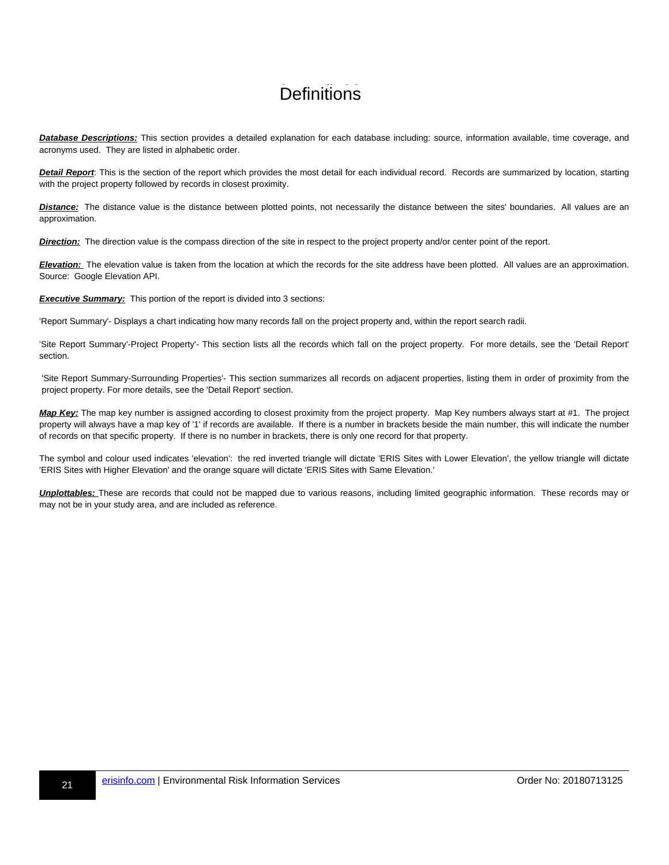## **Definitions**

**Database Descriptions:** This section provides a detailed explanation for each database including: source, information available, time coverage, and acronyms used. They are listed in alphabetic order.

**Detail Report**: This is the section of the report which provides the most detail for each individual record. Records are summarized by location, starting with the project property followed by records in closest proximity.

**Distance:** The distance value is the distance between plotted points, not necessarily the distance between the sites' boundaries. All values are an approximation.

**Direction:** The direction value is the compass direction of the site in respect to the project property and/or center point of the report.

**Elevation:** The elevation value is taken from the location at which the records for the site address have been plotted. All values are an approximation. Source: Google Elevation API.

**Executive Summary:** This portion of the report is divided into 3 sections:

'Report Summary'- Displays a chart indicating how many records fall on the project property and, within the report search radii.

'Site Report Summary'-Project Property'- This section lists all the records which fall on the project property. For more details, see the 'Detail Report' section.

'Site Report Summary-Surrounding Properties'- This section summarizes all records on adjacent properties, listing them in order of proximity from the project property. For more details, see the 'Detail Report' section.

**Map Key:** The map key number is assigned according to closest proximity from the project property. Map Key numbers always start at #1. The project property will always have a map key of '1' if records are available. If there is a number in brackets beside the main number, this will indicate the number of records on that specific property. If there is no number in brackets, there is only one record for that property.

The symbol and colour used indicates 'elevation': the red inverted triangle will dictate 'ERIS Sites with Lower Elevation', the yellow triangle will dictate 'ERIS Sites with Higher Elevation' and the orange square will dictate 'ERIS Sites with Same Elevation.'

**Unplottables:** These are records that could not be mapped due to various reasons, including limited geographic information. These records may or may not be in your study area, and are included as reference.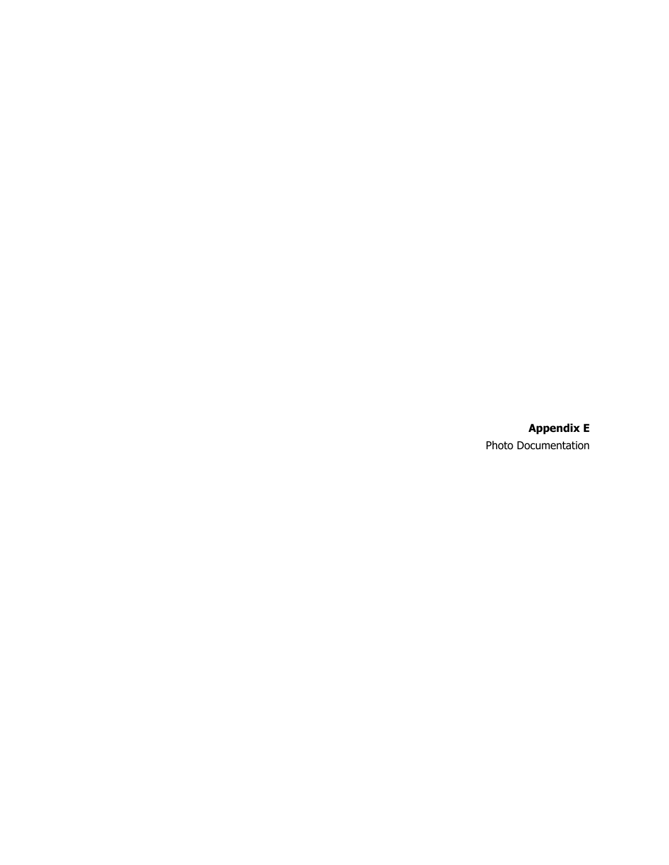**Appendix E** Photo Documentation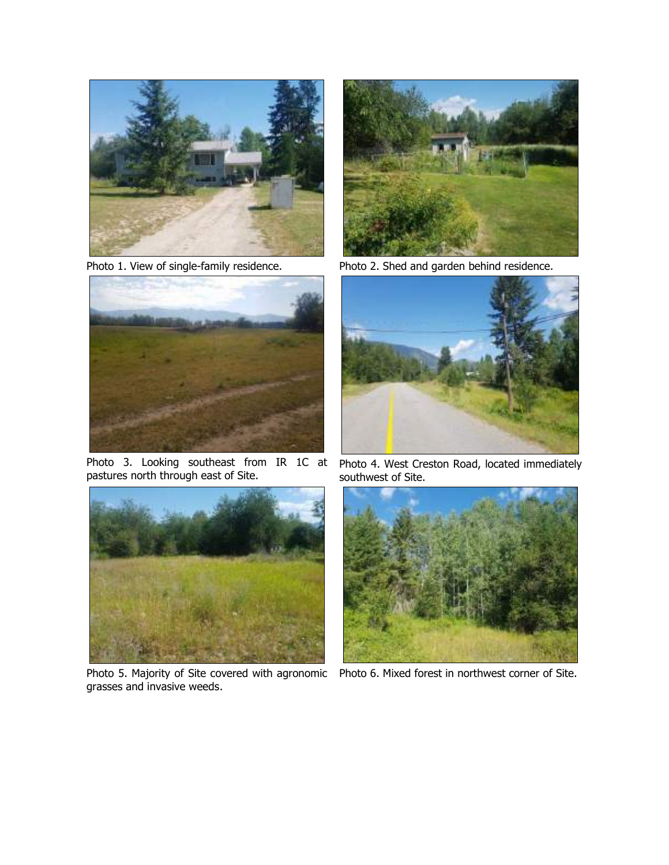

<span id="page-54-0"></span>

Photo 3. Looking southeast from IR 1C at Photo 4. West Creston Road, located immediately pastures north through east of Site.

<span id="page-54-2"></span>

grasses and invasive weeds.



Photo 1. View of single-family residence. Photo 2. Shed and garden behind residence.

<span id="page-54-3"></span><span id="page-54-1"></span>

southwest of Site.

<span id="page-54-5"></span><span id="page-54-4"></span>

Photo 5. Majority of Site covered with agronomic Photo 6. Mixed forest in northwest corner of Site.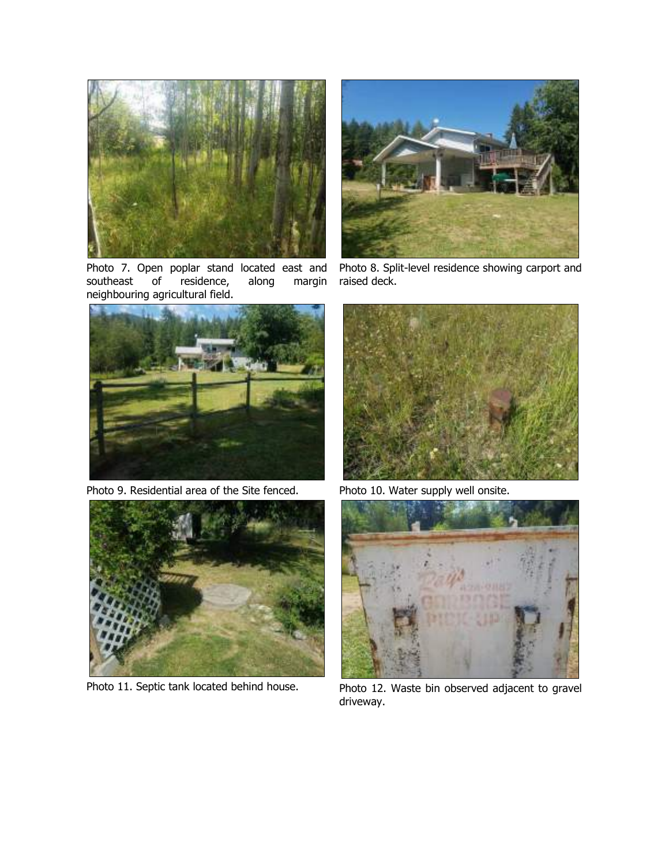

Photo 7. Open poplar stand located east and<br>southeast of residence, along margin of residence, along margin neighbouring agricultural field.

<span id="page-55-0"></span>

Photo 9. Residential area of the Site fenced. Photo 10. Water supply well onsite.

<span id="page-55-2"></span>



Photo 8. Split-level residence showing carport and raised deck.

<span id="page-55-3"></span><span id="page-55-1"></span>

<span id="page-55-5"></span><span id="page-55-4"></span>

Photo 11. Septic tank located behind house. <br>Photo 12. Waste bin observed adjacent to gravel driveway.